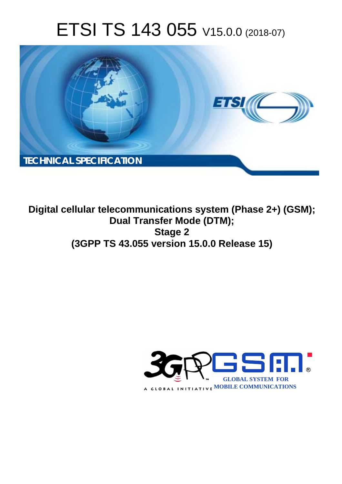# ETSI TS 143 055 V15.0.0 (2018-07)



**Digital cellular telecommunications system (Phase 2+) (GSM); Dual Transfer Mode (DTM); Stage 2 (3GPP TS 43.055 version 15.0.0 Release 15)** 

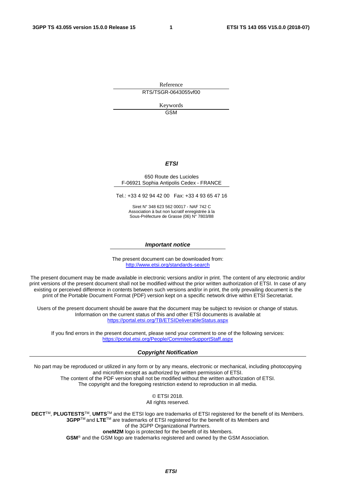Reference RTS/TSGR-0643055vf00

> Keywords GSM

#### *ETSI*

#### 650 Route des Lucioles F-06921 Sophia Antipolis Cedex - FRANCE

Tel.: +33 4 92 94 42 00 Fax: +33 4 93 65 47 16

Siret N° 348 623 562 00017 - NAF 742 C Association à but non lucratif enregistrée à la Sous-Préfecture de Grasse (06) N° 7803/88

#### *Important notice*

The present document can be downloaded from: <http://www.etsi.org/standards-search>

The present document may be made available in electronic versions and/or in print. The content of any electronic and/or print versions of the present document shall not be modified without the prior written authorization of ETSI. In case of any existing or perceived difference in contents between such versions and/or in print, the only prevailing document is the print of the Portable Document Format (PDF) version kept on a specific network drive within ETSI Secretariat.

Users of the present document should be aware that the document may be subject to revision or change of status. Information on the current status of this and other ETSI documents is available at <https://portal.etsi.org/TB/ETSIDeliverableStatus.aspx>

If you find errors in the present document, please send your comment to one of the following services: <https://portal.etsi.org/People/CommiteeSupportStaff.aspx>

#### *Copyright Notification*

No part may be reproduced or utilized in any form or by any means, electronic or mechanical, including photocopying and microfilm except as authorized by written permission of ETSI. The content of the PDF version shall not be modified without the written authorization of ETSI. The copyright and the foregoing restriction extend to reproduction in all media.

> © ETSI 2018. All rights reserved.

**DECT**TM, **PLUGTESTS**TM, **UMTS**TM and the ETSI logo are trademarks of ETSI registered for the benefit of its Members. **3GPP**TM and **LTE**TM are trademarks of ETSI registered for the benefit of its Members and of the 3GPP Organizational Partners. **oneM2M** logo is protected for the benefit of its Members.

**GSM**® and the GSM logo are trademarks registered and owned by the GSM Association.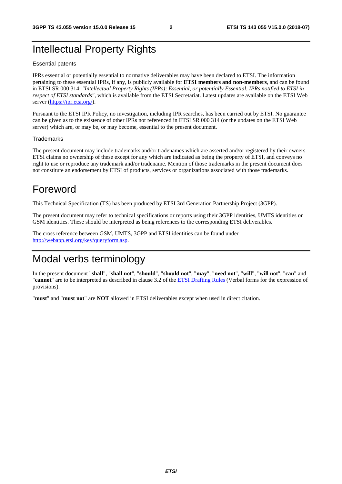# Intellectual Property Rights

#### Essential patents

IPRs essential or potentially essential to normative deliverables may have been declared to ETSI. The information pertaining to these essential IPRs, if any, is publicly available for **ETSI members and non-members**, and can be found in ETSI SR 000 314: *"Intellectual Property Rights (IPRs); Essential, or potentially Essential, IPRs notified to ETSI in respect of ETSI standards"*, which is available from the ETSI Secretariat. Latest updates are available on the ETSI Web server ([https://ipr.etsi.org/\)](https://ipr.etsi.org/).

Pursuant to the ETSI IPR Policy, no investigation, including IPR searches, has been carried out by ETSI. No guarantee can be given as to the existence of other IPRs not referenced in ETSI SR 000 314 (or the updates on the ETSI Web server) which are, or may be, or may become, essential to the present document.

#### **Trademarks**

The present document may include trademarks and/or tradenames which are asserted and/or registered by their owners. ETSI claims no ownership of these except for any which are indicated as being the property of ETSI, and conveys no right to use or reproduce any trademark and/or tradename. Mention of those trademarks in the present document does not constitute an endorsement by ETSI of products, services or organizations associated with those trademarks.

# Foreword

This Technical Specification (TS) has been produced by ETSI 3rd Generation Partnership Project (3GPP).

The present document may refer to technical specifications or reports using their 3GPP identities, UMTS identities or GSM identities. These should be interpreted as being references to the corresponding ETSI deliverables.

The cross reference between GSM, UMTS, 3GPP and ETSI identities can be found under [http://webapp.etsi.org/key/queryform.asp.](http://webapp.etsi.org/key/queryform.asp)

# Modal verbs terminology

In the present document "**shall**", "**shall not**", "**should**", "**should not**", "**may**", "**need not**", "**will**", "**will not**", "**can**" and "**cannot**" are to be interpreted as described in clause 3.2 of the [ETSI Drafting Rules](https://portal.etsi.org/Services/editHelp!/Howtostart/ETSIDraftingRules.aspx) (Verbal forms for the expression of provisions).

"**must**" and "**must not**" are **NOT** allowed in ETSI deliverables except when used in direct citation.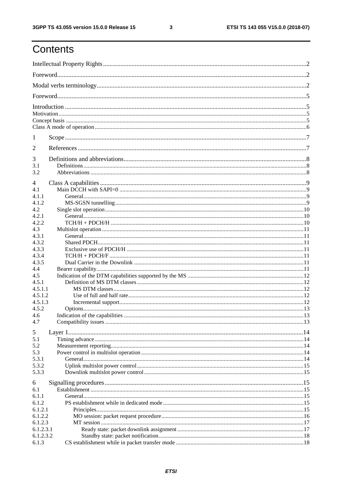$\mathbf{3}$ 

# Contents

| 1                  |  |  |  |  |  |  |  |  |
|--------------------|--|--|--|--|--|--|--|--|
| 2                  |  |  |  |  |  |  |  |  |
| 3                  |  |  |  |  |  |  |  |  |
| 3.1                |  |  |  |  |  |  |  |  |
| 3.2                |  |  |  |  |  |  |  |  |
| 4                  |  |  |  |  |  |  |  |  |
| 4.1                |  |  |  |  |  |  |  |  |
| 4.1.1              |  |  |  |  |  |  |  |  |
| 4.1.2              |  |  |  |  |  |  |  |  |
| 4.2                |  |  |  |  |  |  |  |  |
| 4.2.1              |  |  |  |  |  |  |  |  |
| 4.2.2              |  |  |  |  |  |  |  |  |
| 4.3                |  |  |  |  |  |  |  |  |
| 4.3.1              |  |  |  |  |  |  |  |  |
| 4.3.2              |  |  |  |  |  |  |  |  |
| 4.3.3              |  |  |  |  |  |  |  |  |
| 4.3.4              |  |  |  |  |  |  |  |  |
| 4.3.5              |  |  |  |  |  |  |  |  |
| 4.4                |  |  |  |  |  |  |  |  |
| 4.5                |  |  |  |  |  |  |  |  |
| 4.5.1              |  |  |  |  |  |  |  |  |
| 4.5.1.1            |  |  |  |  |  |  |  |  |
| 4.5.1.2            |  |  |  |  |  |  |  |  |
| 4.5.1.3<br>4.5.2   |  |  |  |  |  |  |  |  |
| 4.6                |  |  |  |  |  |  |  |  |
| 4.7                |  |  |  |  |  |  |  |  |
|                    |  |  |  |  |  |  |  |  |
| 5                  |  |  |  |  |  |  |  |  |
| 5.1                |  |  |  |  |  |  |  |  |
| 5.2                |  |  |  |  |  |  |  |  |
| 5.3                |  |  |  |  |  |  |  |  |
| 5.3.1              |  |  |  |  |  |  |  |  |
| 5.3.2              |  |  |  |  |  |  |  |  |
| 5.3.3              |  |  |  |  |  |  |  |  |
| 6                  |  |  |  |  |  |  |  |  |
| 6.1                |  |  |  |  |  |  |  |  |
| 6.1.1              |  |  |  |  |  |  |  |  |
| 6.1.2              |  |  |  |  |  |  |  |  |
| 6.1.2.1            |  |  |  |  |  |  |  |  |
| 6.1.2.2            |  |  |  |  |  |  |  |  |
| 6.1.2.3            |  |  |  |  |  |  |  |  |
| 6.1.2.3.1          |  |  |  |  |  |  |  |  |
| 6.1.2.3.2<br>6.1.3 |  |  |  |  |  |  |  |  |
|                    |  |  |  |  |  |  |  |  |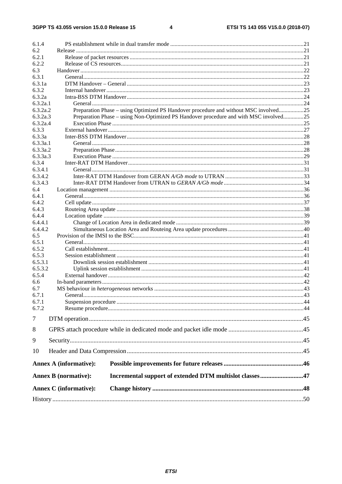$\overline{\mathbf{4}}$ 

| 6.1.4          |                                                                                        |  |
|----------------|----------------------------------------------------------------------------------------|--|
| 6.2            |                                                                                        |  |
| 6.2.1          |                                                                                        |  |
| 6.2.2          |                                                                                        |  |
| 6.3            |                                                                                        |  |
| 6.3.1          |                                                                                        |  |
| 6.3.1a         |                                                                                        |  |
| 6.3.2          |                                                                                        |  |
| 6.3.2a         |                                                                                        |  |
| 6.3.2a.1       |                                                                                        |  |
| 6.3.2a.2       | Preparation Phase – using Optimized PS Handover procedure and without MSC involved25   |  |
| 6.3.2a.3       | Preparation Phase - using Non-Optimized PS Handover procedure and with MSC involved25  |  |
| 6.3.2a.4       |                                                                                        |  |
| 6.3.3          |                                                                                        |  |
| 6.3.3a         |                                                                                        |  |
| 6.3.3a.1       |                                                                                        |  |
| 6.3.3a.2       |                                                                                        |  |
| 6.3.3a.3       |                                                                                        |  |
| 6.3.4          |                                                                                        |  |
| 6.3.4.1        |                                                                                        |  |
| 6.3.4.2        |                                                                                        |  |
| 6.3.4.3        |                                                                                        |  |
| 6.4            |                                                                                        |  |
| 6.4.1          |                                                                                        |  |
| 6.4.2          |                                                                                        |  |
| 6.4.3          |                                                                                        |  |
| 6.4.4          |                                                                                        |  |
| 6.4.4.1        |                                                                                        |  |
| 6.4.4.2        |                                                                                        |  |
| 6.5            |                                                                                        |  |
| 6.5.1          |                                                                                        |  |
| 6.5.2          |                                                                                        |  |
| 6.5.3          |                                                                                        |  |
| 6.5.3.1        |                                                                                        |  |
| 6.5.3.2        |                                                                                        |  |
| 6.5.4          |                                                                                        |  |
| 6.6            |                                                                                        |  |
| 6.7            |                                                                                        |  |
| 6.7.1          | General                                                                                |  |
| 6.7.1          |                                                                                        |  |
| 6.7.2          |                                                                                        |  |
| $\overline{7}$ |                                                                                        |  |
| 8              |                                                                                        |  |
| 9              |                                                                                        |  |
| 10             |                                                                                        |  |
|                | <b>Annex A (informative):</b>                                                          |  |
|                | <b>Annex B</b> (normative):<br>Incremental support of extended DTM multislot classes47 |  |
|                | <b>Annex C</b> (informative):                                                          |  |
|                |                                                                                        |  |
|                |                                                                                        |  |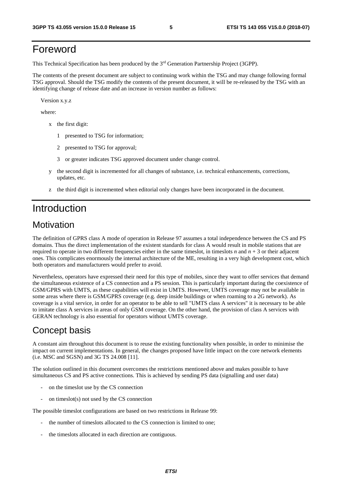# Foreword

This Technical Specification has been produced by the 3rd Generation Partnership Project (3GPP).

The contents of the present document are subject to continuing work within the TSG and may change following formal TSG approval. Should the TSG modify the contents of the present document, it will be re-released by the TSG with an identifying change of release date and an increase in version number as follows:

Version x.y.z

where:

- x the first digit:
	- 1 presented to TSG for information;
	- 2 presented to TSG for approval;
	- 3 or greater indicates TSG approved document under change control.
- y the second digit is incremented for all changes of substance, i.e. technical enhancements, corrections, updates, etc.
- z the third digit is incremented when editorial only changes have been incorporated in the document.

# Introduction

## **Motivation**

The definition of GPRS class A mode of operation in Release 97 assumes a total independence between the CS and PS domains. Thus the direct implementation of the existent standards for class A would result in mobile stations that are required to operate in two different frequencies either in the same timeslot, in timeslots *n* and  $n + 3$  or their adjacent ones. This complicates enormously the internal architecture of the ME, resulting in a very high development cost, which both operators and manufacturers would prefer to avoid.

Nevertheless, operators have expressed their need for this type of mobiles, since they want to offer services that demand the simultaneous existence of a CS connection and a PS session. This is particularly important during the coexistence of GSM/GPRS with UMTS, as these capabilities will exist in UMTS. However, UMTS coverage may not be available in some areas where there is GSM/GPRS coverage (e.g. deep inside buildings or when roaming to a 2G network). As coverage is a vital service, in order for an operator to be able to sell "UMTS class A services" it is necessary to be able to imitate class A services in areas of only GSM coverage. On the other hand, the provision of class A services with GERAN technology is also essential for operators without UMTS coverage.

## Concept basis

A constant aim throughout this document is to reuse the existing functionality when possible, in order to minimise the impact on current implementations. In general, the changes proposed have little impact on the core network elements (i.e. MSC and SGSN) and 3G TS 24.008 [11].

The solution outlined in this document overcomes the restrictions mentioned above and makes possible to have simultaneous CS and PS active connections. This is achieved by sending PS data (signalling and user data)

- on the timeslot use by the CS connection
- on timeslot(s) not used by the  $CS$  connection

The possible timeslot configurations are based on two restrictions in Release 99:

- the number of timeslots allocated to the CS connection is limited to one;
- the timeslots allocated in each direction are contiguous.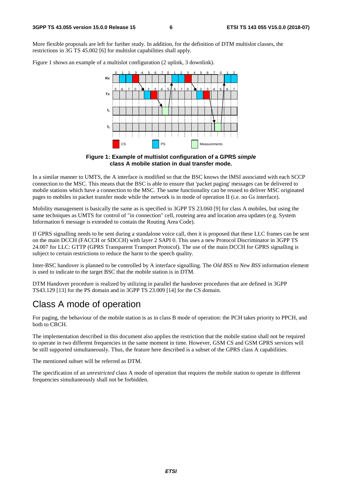More flexible proposals are left for further study. In addition, for the definition of DTM multislot classes, the restrictions in 3G TS 45.002 [6] for multislot capabilities shall apply.

Figure 1 shows an example of a multislot configuration (2 uplink, 3 downlink).



**Figure 1: Example of multislot configuration of a GPRS** *simple*  **class A mobile station in dual transfer mode.** 

In a similar manner to UMTS, the A interface is modified so that the BSC knows the IMSI associated with each SCCP connection to the MSC. This means that the BSC is able to ensure that 'packet paging' messages can be delivered to mobile stations which have a connection to the MSC. The same functionality can be reused to deliver MSC originated pages to mobiles in packet transfer mode while the network is in mode of operation II (i.e. no Gs interface).

Mobility management is basically the same as is specified in 3GPP TS 23.060 [9] for class A mobiles, but using the same techniques as UMTS for control of "in connection" cell, routeing area and location area updates (e.g. System Information 6 message is extended to contain the Routing Area Code).

If GPRS signalling needs to be sent during a standalone voice call, then it is proposed that these LLC frames can be sent on the main DCCH (FACCH or SDCCH) with layer 2 SAPI 0. This uses a new Protocol Discriminator in 3GPP TS 24.007 for LLC: GTTP (GPRS Transparent Transport Protocol). The use of the main DCCH for GPRS signalling is subject to certain restrictions to reduce the harm to the speech quality.

Inter-BSC handover is planned to be controlled by A interface signalling. The *Old BSS to New BSS* information element is used to indicate to the target BSC that the mobile station is in DTM.

DTM Handover procedure is realized by utilizing in parallel the handover procedures that are defined in 3GPP TS43.129 [13] for the PS domain and in 3GPP TS 23.009 [14] for the CS domain.

## Class A mode of operation

For paging, the behaviour of the mobile station is as in class B mode of operation: the PCH takes priority to PPCH, and both to CBCH.

The implementation described in this document also applies the restriction that the mobile station shall not be required to operate in two different frequencies in the same moment in time. However, GSM CS and GSM GPRS services will be still supported simultaneously. Thus, the feature here described is a subset of the GPRS class A capabilities.

The mentioned subset will be referred as DTM.

The specification of an *unrestricted* class A mode of operation that requires the mobile station to operate in different frequencies simultaneously shall not be forbidden.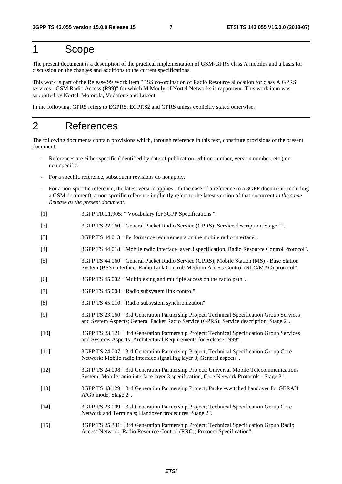# 1 Scope

The present document is a description of the practical implementation of GSM-GPRS class A mobiles and a basis for discussion on the changes and additions to the current specifications.

This work is part of the Release 99 Work Item "BSS co-ordination of Radio Resource allocation for class A GPRS services - GSM Radio Access (R99)" for which M Mouly of Nortel Networks is rapporteur. This work item was supported by Nortel, Motorola, Vodafone and Lucent.

In the following, GPRS refers to EGPRS, EGPRS2 and GPRS unless explicitly stated otherwise.

## 2 References

The following documents contain provisions which, through reference in this text, constitute provisions of the present document.

- References are either specific (identified by date of publication, edition number, version number, etc.) or non-specific.
- For a specific reference, subsequent revisions do not apply.
- For a non-specific reference, the latest version applies. In the case of a reference to a 3GPP document (including a GSM document), a non-specific reference implicitly refers to the latest version of that document *in the same Release as the present document*.
- [1] 3GPP TR 21.905: " Vocabulary for 3GPP Specifications ".
- [2] 3GPP TS 22.060: "General Packet Radio Service (GPRS); Service description; Stage 1".
- [3] 3GPP TS 44.013: "Performance requirements on the mobile radio interface".
- [4] 3GPP TS 44.018: "Mobile radio interface layer 3 specification, Radio Resource Control Protocol".
- [5] 3GPP TS 44.060: "General Packet Radio Service (GPRS); Mobile Station (MS) Base Station System (BSS) interface; Radio Link Control/ Medium Access Control (RLC/MAC) protocol".
- [6] 3GPP TS 45.002: "Multiplexing and multiple access on the radio path".
- [7] 3GPP TS 45.008: "Radio subsystem link control".
- [8] 3GPP TS 45.010: "Radio subsystem synchronization".
- [9] 3GPP TS 23.060: "3rd Generation Partnership Project; Technical Specification Group Services and System Aspects; General Packet Radio Service (GPRS); Service description; Stage 2".
- [10] 3GPP TS 23.121: "3rd Generation Partnership Project; Technical Specification Group Services and Systems Aspects; Architectural Requirements for Release 1999".
- [11] 3GPP TS 24.007: "3rd Generation Partnership Project; Technical Specification Group Core Network; Mobile radio interface signalling layer 3; General aspects".
- [12] 3GPP TS 24.008: "3rd Generation Partnership Project; Universal Mobile Telecommunications System; Mobile radio interface layer 3 specification, Core Network Protocols - Stage 3".
- [13] 3GPP TS 43.129: "3rd Generation Partnership Project; Packet-switched handover for GERAN A/Gb mode; Stage 2".
- [14] 3GPP TS 23.009: "3rd Generation Partnership Project; Technical Specification Group Core Network and Terminals; Handover procedures; Stage 2".
- [15] 3GPP TS 25.331: "3rd Generation Partnership Project; Technical Specification Group Radio Access Network; Radio Resource Control (RRC); Protocol Specification".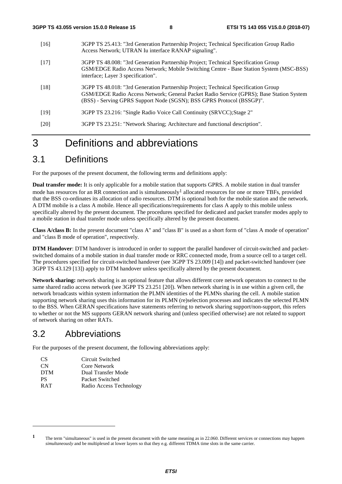- [16] 3GPP TS 25.413: "3rd Generation Partnership Project; Technical Specification Group Radio Access Network; UTRAN Iu interface RANAP signaling".
- [17] 3GPP TS 48.008: "3rd Generation Partnership Project; Technical Specification Group GSM/EDGE Radio Access Network; Mobile Switching Centre - Base Station System (MSC-BSS) interface; Layer 3 specification".
- [18] 3GPP TS 48.018: "3rd Generation Partnership Project; Technical Specification Group GSM/EDGE Radio Access Network; General Packet Radio Service (GPRS); Base Station System (BSS) - Serving GPRS Support Node (SGSN); BSS GPRS Protocol (BSSGP)".
- [19] 3GPP TS 23.216: "Single Radio Voice Call Continuity (SRVCC);Stage 2"
- [20] 3GPP TS 23.251: "Network Sharing; Architecture and functional description".

# 3 Definitions and abbreviations

## 3.1 Definitions

For the purposes of the present document, the following terms and definitions apply:

**Dual transfer mode:** It is only applicable for a mobile station that supports GPRS. A mobile station in dual transfer mode has resources for an RR connection and is simultaneously<sup>1</sup> allocated resources for one or more TBFs, provided that the BSS co-ordinates its allocation of radio resources. DTM is optional both for the mobile station and the network. A DTM mobile is a class A mobile. Hence all specifications/requirements for class A apply to this mobile unless specifically altered by the present document. The procedures specified for dedicated and packet transfer modes apply to a mobile station in dual transfer mode unless specifically altered by the present document.

**Class A/class B:** In the present document "class A" and "class B" is used as a short form of "class A mode of operation" and "class B mode of operation", respectively.

**DTM Handover**: DTM handover is introduced in order to support the parallel handover of circuit-switched and packetswitched domains of a mobile station in dual transfer mode or RRC connected mode, from a source cell to a target cell. The procedures specified for circuit-switched handover (see 3GPP TS 23.009 [14]) and packet-switched handover (see 3GPP TS 43.129 [13]) apply to DTM handover unless specifically altered by the present document.

**Network sharing:** network sharing is an optional feature that allows different core network operators to connect to the same shared radio access network (see 3GPP TS 23.251 [20]). When network sharing is in use within a given cell, the network broadcasts within system information the PLMN identities of the PLMNs sharing the cell. A mobile station supporting network sharing uses this information for its PLMN (re)selection processes and indicates the selected PLMN to the BSS. When GERAN specifications have statements referring to network sharing support/non-support, this refers to whether or not the MS supports GERAN network sharing and (unless specified otherwise) are not related to support of network sharing on other RATs.

## 3.2 Abbreviations

-

For the purposes of the present document, the following abbreviations apply:

| CS.        | Circuit Switched        |
|------------|-------------------------|
| CN.        | Core Network            |
| <b>DTM</b> | Dual Transfer Mode      |
| <b>PS</b>  | Packet Switched         |
| <b>RAT</b> | Radio Access Technology |
|            |                         |

**<sup>1</sup>** The term "simultaneous" is used in the present document with the same meaning as in 22.060. Different services or connections may happen *simultaneously* and be multiplexed at lower layers so that they e.g. different TDMA time slots in the same carrier.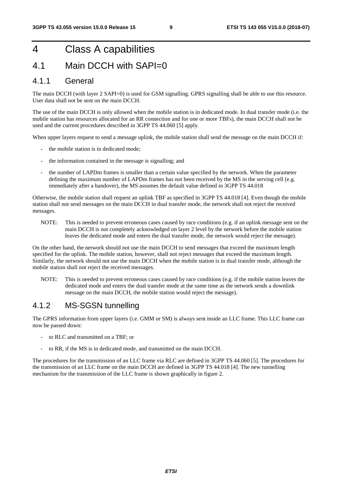# 4 Class A capabilities

## 4.1 Main DCCH with SAPI=0

### 4.1.1 General

The main DCCH (with layer 2 SAPI=0) is used for GSM signalling. GPRS signalling shall be able to use this resource. User data shall not be sent on the main DCCH.

The use of the main DCCH is only allowed when the mobile station is in dedicated mode. In dual transfer mode (i.e. the mobile station has resources allocated for an RR connection and for one or more TBFs), the main DCCH shall not be used and the current procedures described in 3GPP TS 44.060 [5] apply.

When upper layers request to send a message uplink, the mobile station shall send the message on the main DCCH if:

- the mobile station is in dedicated mode;
- the information contained in the message is signalling; and
- the number of LAPDm frames is smaller than a certain value specified by the network. When the parameter defining the maximum number of LAPDm frames has not been received by the MS in the serving cell (e.g. immediately after a handover), the MS assumes the default value defined in 3GPP TS 44.018

Otherwise, the mobile station shall request an uplink TBF as specified in 3GPP TS 44.018 [4]. Even though the mobile station shall not send messages on the main DCCH in dual transfer mode, the network shall not reject the received messages.

NOTE: This is needed to prevent erroneous cases caused by race conditions (e.g. if an uplink message sent on the main DCCH is not completely acknowledged on layer 2 level by the network before the mobile station leaves the dedicated mode and enters the dual transfer mode, the network would reject the message).

On the other hand, the network should not use the main DCCH to send messages that exceed the maximum length specified for the uplink. The mobile station, however, shall not reject messages that exceed the maximum length. Similarly, the network should not use the main DCCH when the mobile station is in dual transfer mode, although the mobile station shall not reject the received messages.

NOTE: This is needed to prevent erroneous cases caused by race conditions (e.g. if the mobile station leaves the dedicated mode and enters the dual transfer mode at the same time as the network sends a downlink message on the main DCCH, the mobile station would reject the message).

### 4.1.2 MS-SGSN tunnelling

The GPRS information from upper layers (i.e. GMM or SM) is always sent inside an LLC frame. This LLC frame can now be passed down:

- to RLC and transmitted on a TBF; or
- to RR, if the MS is in dedicated mode, and transmitted on the main DCCH.

The procedures for the transmission of an LLC frame via RLC are defined in 3GPP TS 44.060 [5]. The procedures for the transmission of an LLC frame on the main DCCH are defined in 3GPP TS 44.018 [4]. The new tunnelling mechanism for the transmission of the LLC frame is shown graphically in figure 2.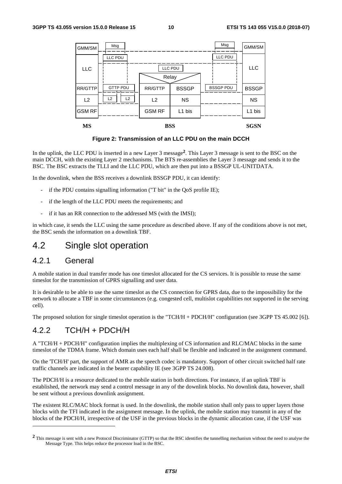

**Figure 2: Transmission of an LLC PDU on the main DCCH** 

In the uplink, the LLC PDU is inserted in a new Layer 3 message**2**. This Layer 3 message is sent to the BSC on the main DCCH, with the existing Layer 2 mechanisms. The BTS re-assemblies the Layer 3 message and sends it to the BSC. The BSC extracts the TLLI and the LLC PDU, which are then put into a BSSGP UL-UNITDATA.

In the downlink, when the BSS receives a downlink BSSGP PDU, it can identify:

- if the PDU contains signalling information ("T bit" in the QoS profile IE);
- if the length of the LLC PDU meets the requirements; and
- if it has an RR connection to the addressed MS (with the IMSI);

in which case, it sends the LLC using the same procedure as described above. If any of the conditions above is not met, the BSC sends the information on a downlink TBF.

## 4.2 Single slot operation

### 4.2.1 General

-

A mobile station in dual transfer mode has one timeslot allocated for the CS services. It is possible to reuse the same timeslot for the transmission of GPRS signalling and user data.

It is desirable to be able to use the same timeslot as the CS connection for GPRS data, due to the impossibility for the network to allocate a TBF in some circumstances (e.g. congested cell, multislot capabilities not supported in the serving cell).

The proposed solution for single timeslot operation is the "TCH/H + PDCH/H" configuration (see 3GPP TS 45.002 [6]).

## 4.2.2 TCH/H + PDCH/H

A "TCH/H + PDCH/H" configuration implies the multiplexing of CS information and RLC/MAC blocks in the same timeslot of the TDMA frame. Which domain uses each half shall be flexible and indicated in the assignment command.

On the 'TCH/H' part, the support of AMR as the speech codec is mandatory. Support of other circuit switched half rate traffic channels are indicated in the bearer capability IE (see 3GPP TS 24.008).

The PDCH/H is a resource dedicated to the mobile station in both directions. For instance, if an uplink TBF is established, the network may send a control message in any of the downlink blocks. No downlink data, however, shall be sent without a previous downlink assignment.

The existent RLC/MAC block format is used. In the downlink, the mobile station shall only pass to upper layers those blocks with the TFI indicated in the assignment message. In the uplink, the mobile station may transmit in any of the blocks of the PDCH/H, irrespective of the USF in the previous blocks in the dynamic allocation case, if the USF was

<sup>&</sup>lt;sup>2</sup> This message is sent with a new Protocol Discriminator (GTTP) so that the BSC identifies the tunnelling mechanism without the need to analyse the Message Type. This helps reduce the processor load in the BSC.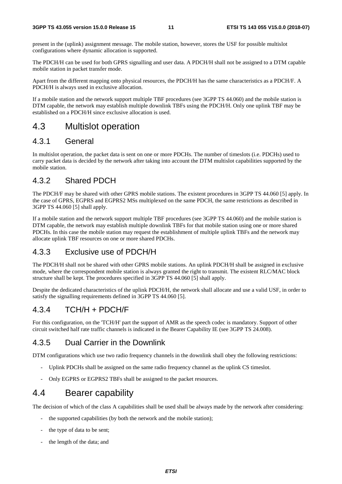present in the (uplink) assignment message. The mobile station, however, stores the USF for possible multislot configurations where dynamic allocation is supported.

The PDCH/H can be used for both GPRS signalling and user data. A PDCH/H shall not be assigned to a DTM capable mobile station in packet transfer mode.

Apart from the different mapping onto physical resources, the PDCH/H has the same characteristics as a PDCH/F. A PDCH/H is always used in exclusive allocation.

If a mobile station and the network support multiple TBF procedures (see 3GPP TS 44.060) and the mobile station is DTM capable, the network may establish multiple downlink TBFs using the PDCH/H. Only one uplink TBF may be established on a PDCH/H since exclusive allocation is used.

## 4.3 Multislot operation

## 4.3.1 General

In multislot operation, the packet data is sent on one or more PDCHs. The number of timeslots (i.e. PDCHs) used to carry packet data is decided by the network after taking into account the DTM multislot capabilities supported by the mobile station.

## 4.3.2 Shared PDCH

The PDCH/F may be shared with other GPRS mobile stations. The existent procedures in 3GPP TS 44.060 [5] apply. In the case of GPRS, EGPRS and EGPRS2 MSs multiplexed on the same PDCH, the same restrictions as described in 3GPP TS 44.060 [5] shall apply.

If a mobile station and the network support multiple TBF procedures (see 3GPP TS 44.060) and the mobile station is DTM capable, the network may establish multiple downlink TBFs for that mobile station using one or more shared PDCHs. In this case the mobile station may request the establishment of multiple uplink TBFs and the network may allocate uplink TBF resources on one or more shared PDCHs.

## 4.3.3 Exclusive use of PDCH/H

The PDCH/H shall not be shared with other GPRS mobile stations. An uplink PDCH/H shall be assigned in exclusive mode, where the correspondent mobile station is always granted the right to transmit. The existent RLC/MAC block structure shall be kept. The procedures specified in 3GPP TS 44.060 [5] shall apply.

Despite the dedicated characteristics of the uplink PDCH/H, the network shall allocate and use a valid USF, in order to satisfy the signalling requirements defined in 3GPP TS 44.060 [5].

## 4.3.4 TCH/H + PDCH/F

For this configuration, on the 'TCH/H' part the support of AMR as the speech codec is mandatory. Support of other circuit switched half rate traffic channels is indicated in the Bearer Capability IE (see 3GPP TS 24.008).

## 4.3.5 Dual Carrier in the Downlink

DTM configurations which use two radio frequency channels in the downlink shall obey the following restrictions:

- Uplink PDCHs shall be assigned on the same radio frequency channel as the uplink CS timeslot.
- Only EGPRS or EGPRS2 TBFs shall be assigned to the packet resources.

## 4.4 Bearer capability

The decision of which of the class A capabilities shall be used shall be always made by the network after considering:

- the supported capabilities (by both the network and the mobile station);
- the type of data to be sent;
- the length of the data; and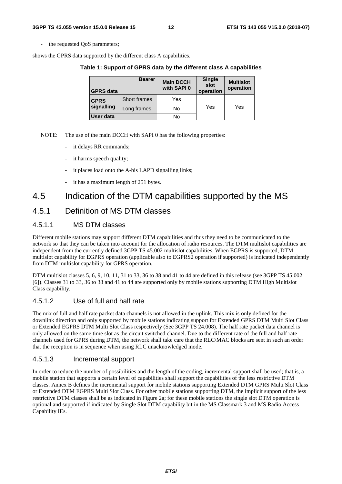the requested QoS parameters;

shows the GPRS data supported by the different class A capabilities.

**Table 1: Support of GPRS data by the different class A capabilities** 

| <b>GPRS</b> data | <b>Bearer</b> | <b>Main DCCH</b><br>with SAPI 0 | <b>Single</b><br>slot<br>operation | <b>Multislot</b><br>operation |  |
|------------------|---------------|---------------------------------|------------------------------------|-------------------------------|--|
| <b>GPRS</b>      | Short frames  | Yes                             |                                    |                               |  |
| signalling       | Long frames   | No                              | Yes                                | Yes                           |  |
| User data        |               | No                              |                                    |                               |  |

- NOTE: The use of the main DCCH with SAPI 0 has the following properties:
	- it delays RR commands;
	- it harms speech quality;
	- it places load onto the A-bis LAPD signalling links;
	- it has a maximum length of 251 bytes.

## 4.5 Indication of the DTM capabilities supported by the MS

### 4.5.1 Definition of MS DTM classes

### 4.5.1.1 MS DTM classes

Different mobile stations may support different DTM capabilities and thus they need to be communicated to the network so that they can be taken into account for the allocation of radio resources. The DTM multislot capabilities are independent from the currently defined 3GPP TS 45.002 multislot capabilities. When EGPRS is supported, DTM multislot capability for EGPRS operation (applicable also to EGPRS2 operation if supported) is indicated independently from DTM multislot capability for GPRS operation.

DTM multislot classes 5, 6, 9, 10, 11, 31 to 33, 36 to 38 and 41 to 44 are defined in this release (see 3GPP TS 45.002 [6]). Classes 31 to 33, 36 to 38 and 41 to 44 are supported only by mobile stations supporting DTM High Multislot Class capability.

### 4.5.1.2 Use of full and half rate

The mix of full and half rate packet data channels is not allowed in the uplink. This mix is only defined for the downlink direction and only supported by mobile stations indicating support for Extended GPRS DTM Multi Slot Class or Extended EGPRS DTM Multi Slot Class respectively (See 3GPP TS 24.008). The half rate packet data channel is only allowed on the same time slot as the circuit switched channel. Due to the different rate of the full and half rate channels used for GPRS during DTM, the network shall take care that the RLC/MAC blocks are sent in such an order that the reception is in sequence when using RLC unacknowledged mode.

### 4.5.1.3 Incremental support

In order to reduce the number of possibilities and the length of the coding, incremental support shall be used; that is, a mobile station that supports a certain level of capabilities shall support the capabilities of the less restrictive DTM classes. Annex B defines the incremental support for mobile stations supporting Extended DTM GPRS Multi Slot Class or Extended DTM EGPRS Multi Slot Class. For other mobile stations supporting DTM, the implicit support of the less restrictive DTM classes shall be as indicated in Figure 2a; for these mobile stations the single slot DTM operation is optional and supported if indicated by Single Slot DTM capability bit in the MS Classmark 3 and MS Radio Access Capability IEs.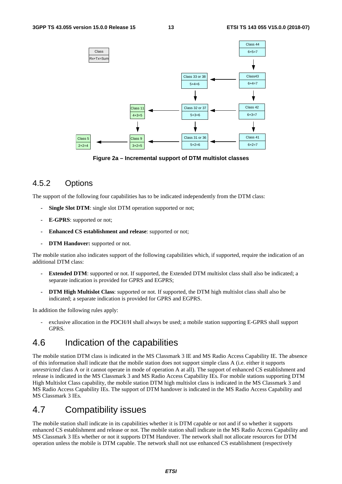

**Figure 2a – Incremental support of DTM multislot classes** 

## 4.5.2 Options

The support of the following four capabilities has to be indicated independently from the DTM class:

- **Single Slot DTM**: single slot DTM operation supported or not;
- **E-GPRS**: supported or not;
- **Enhanced CS establishment and release**: supported or not;
- **DTM Handover:** supported or not.

The mobile station also indicates support of the following capabilities which, if supported, require the indication of an additional DTM class:

- **Extended DTM**: supported or not. If supported, the Extended DTM multislot class shall also be indicated; a separate indication is provided for GPRS and EGPRS;
- **DTM High Multislot Class**: supported or not. If supported, the DTM high multislot class shall also be indicated; a separate indication is provided for GPRS and EGPRS.

In addition the following rules apply:

exclusive allocation in the PDCH/H shall always be used; a mobile station supporting E-GPRS shall support GPRS.

## 4.6 Indication of the capabilities

The mobile station DTM class is indicated in the MS Classmark 3 IE and MS Radio Access Capability IE. The absence of this information shall indicate that the mobile station does not support simple class A (i.e. either it supports *unrestricted* class A or it cannot operate in mode of operation A at all). The support of enhanced CS establishment and release is indicated in the MS Classmark 3 and MS Radio Access Capability IEs. For mobile stations supporting DTM High Multislot Class capability, the mobile station DTM high multislot class is indicated in the MS Classmark 3 and MS Radio Access Capability IEs. The support of DTM handover is indicated in the MS Radio Access Capability and MS Classmark 3 IEs.

## 4.7 Compatibility issues

The mobile station shall indicate in its capabilities whether it is DTM capable or not and if so whether it supports enhanced CS establishment and release or not. The mobile station shall indicate in the MS Radio Access Capability and MS Classmark 3 IEs whether or not it supports DTM Handover. The network shall not allocate resources for DTM operation unless the mobile is DTM capable. The network shall not use enhanced CS establishment (respectively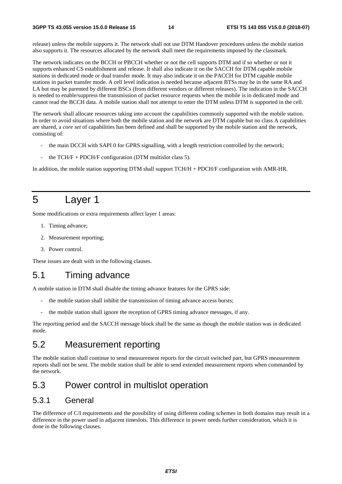release) unless the mobile supports it. The network shall not use DTM Handover procedures unless the mobile station also supports it. The resources allocated by the network shall meet the requirements imposed by the classmark.

The network indicates on the BCCH or PBCCH whether or not the cell supports DTM and if so whether or not it supports enhanced CS establishment and release. It shall also indicate it on the SACCH for DTM capable mobile stations in dedicated mode or dual transfer mode. It may also indicate it on the PACCH for DTM capable mobile stations in packet transfer mode. A cell level indication is needed because adjacent BTSs may be in the same RA and LA but may be parented by different BSCs (from different vendors or different releases). The indication in the SACCH is needed to enable/suppress the transmission of packet resource requests when the mobile is in dedicated mode and cannot read the BCCH data. A mobile station shall not attempt to enter the DTM unless DTM is supported in the cell.

The network shall allocate resources taking into account the capabilities commonly supported with the mobile station. In order to avoid situations where both the mobile station and the network are DTM capable but no class A capabilities are shared, a *core set* of capabilities has been defined and shall be supported by the mobile station and the network, consisting of:

- the main DCCH with SAPI 0 for GPRS signalling, with a length restriction controlled by the network;
- the  $TCH/F + PDCH/F$  configuration (DTM multislot class 5).

In addition, the mobile station supporting DTM shall support TCH/H + PDCH/F configuration with AMR-HR.

# 5 Layer 1

Some modifications or extra requirements affect layer 1 areas:

- 1. Timing advance;
- 2. Measurement reporting;
- 3. Power control.

These issues are dealt with in the following clauses.

## 5.1 Timing advance

A mobile station in DTM shall disable the timing advance features for the GPRS side:

- the mobile station shall inhibit the transmission of timing advance access bursts;
- the mobile station shall ignore the reception of GPRS timing advance messages, if any.

The reporting period and the SACCH message block shall be the same as though the mobile station was in dedicated mode.

## 5.2 Measurement reporting

The mobile station shall continue to send measurement reports for the circuit switched part, but GPRS measurement reports shall not be sent. The mobile station shall be able to send extended measurement reports when commanded by the network.

## 5.3 Power control in multislot operation

## 5.3.1 General

The difference of C/I requirements and the possibility of using different coding schemes in both domains may result in a difference in the power used in adjacent timeslots. This difference in power needs further consideration, which it is done in the following clauses.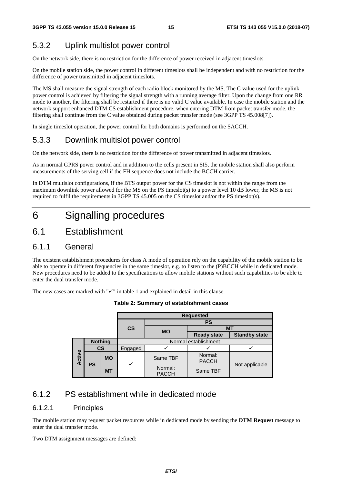## 5.3.2 Uplink multislot power control

On the network side, there is no restriction for the difference of power received in adjacent timeslots.

On the mobile station side, the power control in different timeslots shall be independent and with no restriction for the difference of power transmitted in adjacent timeslots.

The MS shall measure the signal strength of each radio block monitored by the MS. The C value used for the uplink power control is achieved by filtering the signal strength with a running average filter. Upon the change from one RR mode to another, the filtering shall be restarted if there is no valid C value available. In case the mobile station and the network support enhanced DTM CS establishment procedure, when entering DTM from packet transfer mode, the filtering shall continue from the C value obtained during packet transfer mode (see 3GPP TS 45.008[7]).

In single timeslot operation, the power control for both domains is performed on the SACCH.

## 5.3.3 Downlink multislot power control

On the network side, there is no restriction for the difference of power transmitted in adjacent timeslots.

As in normal GPRS power control and in addition to the cells present in SI5, the mobile station shall also perform measurements of the serving cell if the FH sequence does not include the BCCH carrier.

In DTM multislot configurations, if the BTS output power for the CS timeslot is not within the range from the maximum downlink power allowed for the MS on the PS timeslot(s) to a power level 10 dB lower, the MS is not required to fulfil the requirements in 3GPP TS 45.005 on the CS timeslot and/or the PS timeslot(s).

# 6 Signalling procedures

## 6.1 Establishment

## 6.1.1 General

The existent establishment procedures for class A mode of operation rely on the capability of the mobile station to be able to operate in different frequencies in the same timeslot, e.g. to listen to the (P)BCCH while in dedicated mode. New procedures need to be added to the specifications to allow mobile stations without such capabilities to be able to enter the dual transfer mode.

The new cases are marked with " $\checkmark$ " in table 1 and explained in detail in this clause.

**Table 2: Summary of establishment cases** 

|                     |                |                           |                         |           | <b>Requested</b>        |                      |  |  |
|---------------------|----------------|---------------------------|-------------------------|-----------|-------------------------|----------------------|--|--|
|                     |                |                           |                         | <b>PS</b> |                         |                      |  |  |
|                     |                | $\mathsf{CS}$             | <b>MO</b>               | <b>MT</b> |                         |                      |  |  |
|                     |                |                           |                         |           | <b>Ready state</b>      | <b>Standby state</b> |  |  |
|                     | <b>Nothing</b> |                           | Normal establishment    |           |                         |                      |  |  |
| Active<br><b>PS</b> |                | $\mathsf{CS}$             | Engaged                 |           |                         |                      |  |  |
|                     |                | <b>MO</b>                 |                         | Same TBF  | Normal:<br><b>PACCH</b> |                      |  |  |
|                     |                | $\checkmark$<br><b>MT</b> | Normal:<br><b>PACCH</b> | Same TBF  | Not applicable          |                      |  |  |

## 6.1.2 PS establishment while in dedicated mode

### 6.1.2.1 Principles

The mobile station may request packet resources while in dedicated mode by sending the **DTM Request** message to enter the dual transfer mode.

Two DTM assignment messages are defined: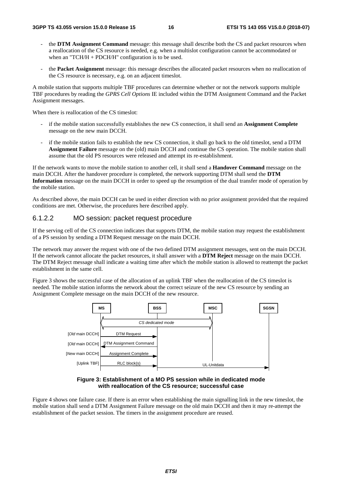- the **DTM Assignment Command** message: this message shall describe both the CS and packet resources when a reallocation of the CS resource is needed, e.g. when a multislot configuration cannot be accommodated or when an "TCH/H + PDCH/H" configuration is to be used.
- the **Packet Assignment** message: this message describes the allocated packet resources when no reallocation of the CS resource is necessary, e.g. on an adjacent timeslot.

A mobile station that supports multiple TBF procedures can determine whether or not the network supports multiple TBF procedures by reading the *GPRS Cell Options* IE included within the DTM Assignment Command and the Packet Assignment messages.

When there is reallocation of the CS timeslot:

- if the mobile station successfully establishes the new CS connection, it shall send an **Assignment Complete**  message on the new main DCCH.
- if the mobile station fails to establish the new CS connection, it shall go back to the old timeslot, send a DTM **Assignment Failure** message on the (old) main DCCH and continue the CS operation. The mobile station shall assume that the old PS resources were released and attempt its re-establishment.

If the network wants to move the mobile station to another cell, it shall send a **Handover Command** message on the main DCCH. After the handover procedure is completed, the network supporting DTM shall send the **DTM Information** message on the main DCCH in order to speed up the resumption of the dual transfer mode of operation by the mobile station.

As described above, the main DCCH can be used in either direction with no prior assignment provided that the required conditions are met. Otherwise, the procedures here described apply.

#### 6.1.2.2 MO session: packet request procedure

If the serving cell of the CS connection indicates that supports DTM, the mobile station may request the establishment of a PS session by sending a DTM Request message on the main DCCH.

The network may answer the request with one of the two defined DTM assignment messages, sent on the main DCCH. If the network cannot allocate the packet resources, it shall answer with a **DTM Reject** message on the main DCCH. The DTM Reject message shall indicate a waiting time after which the mobile station is allowed to reattempt the packet establishment in the same cell.

Figure 3 shows the successful case of the allocation of an uplink TBF when the reallocation of the CS timeslot is needed. The mobile station informs the network about the correct seizure of the new CS resource by sending an Assignment Complete message on the main DCCH of the new resource.



#### **Figure 3: Establishment of a MO PS session while in dedicated mode with reallocation of the CS resource; successful case**

Figure 4 shows one failure case. If there is an error when establishing the main signalling link in the new timeslot, the mobile station shall send a DTM Assignment Failure message on the old main DCCH and then it may re-attempt the establishment of the packet session. The timers in the assignment procedure are reused.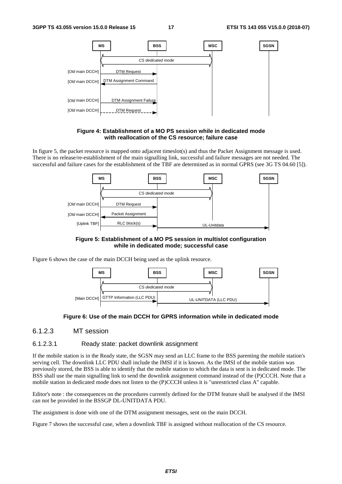



In figure 5, the packet resource is mapped onto adjacent timeslot(s) and thus the Packet Assignment message is used. There is no release/re-establishment of the main signalling link, successful and failure messages are not needed. The successful and failure cases for the establishment of the TBF are determined as in normal GPRS (see 3G TS 04.60 [5]).



**Figure 5: Establishment of a MO PS session in multislot configuration while in dedicated mode; successful case** 

Figure 6 shows the case of the main DCCH being used as the uplink resource.



#### **Figure 6: Use of the main DCCH for GPRS information while in dedicated mode**

6.1.2.3 MT session

#### 6.1.2.3.1 Ready state: packet downlink assignment

If the mobile station is in the Ready state, the SGSN may send an LLC frame to the BSS parenting the mobile station's serving cell. The downlink LLC PDU shall include the IMSI if it is known. As the IMSI of the mobile station was previously stored, the BSS is able to identify that the mobile station to which the data is sent is in dedicated mode. The BSS shall use the main signalling link to send the downlink assignment command instead of the (P)CCCH. Note that a mobile station in dedicated mode does not listen to the (P)CCCH unless it is "unrestricted class A" capable.

Editor's note : the consequences on the procedures currently defined for the DTM feature shall be analysed if the IMSI can not be provided in the BSSGP DL-UNITDATA PDU.

The assignment is done with one of the DTM assignment messages, sent on the main DCCH.

Figure 7 shows the successful case, when a downlink TBF is assigned without reallocation of the CS resource.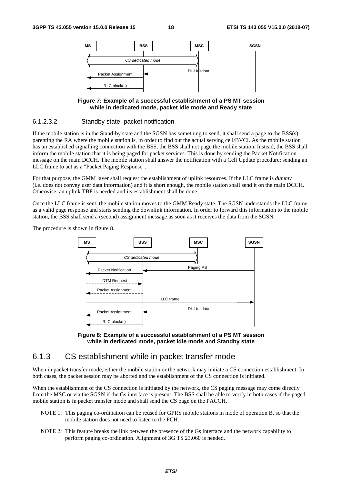

#### **Figure 7: Example of a successful establishment of a PS MT session while in dedicated mode, packet idle mode and Ready state**

#### 6.1.2.3.2 Standby state: packet notification

If the mobile station is in the Stand-by state and the SGSN has something to send, it shall send a page to the BSS(s) parenting the RA where the mobile station is, in order to find out the actual serving cell/BVCI. As the mobile station has an established signalling connection with the BSS, the BSS shall not page the mobile station. Instead, the BSS shall inform the mobile station that it is being paged for packet services. This is done by sending the Packet Notification message on the main DCCH. The mobile station shall answer the notification with a Cell Update procedure: sending an LLC frame to act as a "Packet Paging Response".

For that purpose, the GMM layer shall request the establishment of uplink resources. If the LLC frame is *dummy* (i.e. does not convey user data information) and it is short enough, the mobile station shall send it on the main DCCH. Otherwise, an uplink TBF is needed and its establishment shall be done.

Once the LLC frame is sent, the mobile station moves to the GMM Ready state. The SGSN understands the LLC frame as a valid page response and starts sending the downlink information. In order to forward this information to the mobile station, the BSS shall send a (second) assignment message as soon as it receives the data from the SGSN.

The procedure is shown in figure 8.





### 6.1.3 CS establishment while in packet transfer mode

When in packet transfer mode, either the mobile station or the network may initiate a CS connection establishment. In both cases, the packet session may be aborted and the establishment of the CS connection is initiated.

When the establishment of the CS connection is initiated by the network, the CS paging message may come directly from the MSC or via the SGSN if the Gs interface is present. The BSS shall be able to verify in both cases if the paged mobile station is in packet transfer mode and shall send the CS page on the PACCH.

- NOTE 1: This paging co-ordination can be reused for GPRS mobile stations in mode of operation B, so that the mobile station does not need to listen to the PCH.
- NOTE 2: This feature breaks the link between the presence of the Gs interface and the network capability to perform paging co-ordination. Alignment of 3G TS 23.060 is needed.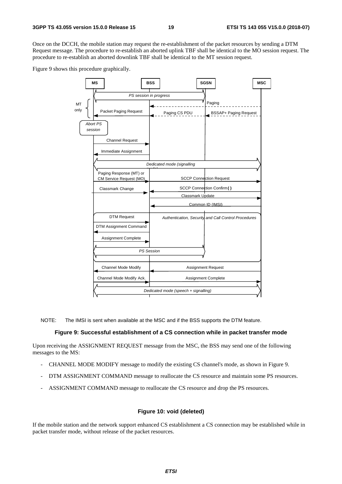Once on the DCCH, the mobile station may request the re-establishment of the packet resources by sending a DTM Request message. The procedure to re-establish an aborted uplink TBF shall be identical to the MO session request. The procedure to re-establish an aborted downlink TBF shall be identical to the MT session request.

Figure 9 shows this procedure graphically.



NOTE: The IMSI is sent when available at the MSC and if the BSS supports the DTM feature.

#### **Figure 9: Successful establishment of a CS connection while in packet transfer mode**

Upon receiving the ASSIGNMENT REQUEST message from the MSC, the BSS may send one of the following messages to the MS:

- CHANNEL MODE MODIFY message to modify the existing CS channel's mode, as shown in Figure 9.
- DTM ASSIGNMENT COMMAND message to reallocate the CS resource and maintain some PS resources.
- ASSIGNMENT COMMAND message to reallocate the CS resource and drop the PS resources.

#### **Figure 10: void (deleted)**

If the mobile station and the network support enhanced CS establishment a CS connection may be established while in packet transfer mode, without release of the packet resources.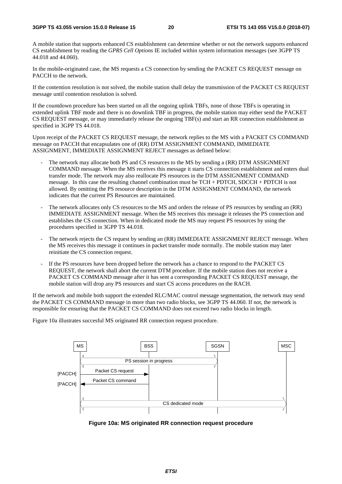#### **3GPP TS 43.055 version 15.0.0 Release 15 20 ETSI TS 143 055 V15.0.0 (2018-07)**

A mobile station that supports enhanced CS establishment can determine whether or not the network supports enhanced CS establishment by reading the *GPRS Cell Options* IE included within system information messages (see 3GPP TS 44.018 and 44.060).

In the mobile-originated case, the MS requests a CS connection by sending the PACKET CS REQUEST message on PACCH to the network.

If the contention resolution is not solved, the mobile station shall delay the transmission of the PACKET CS REQUEST message until contention resolution is solved.

If the countdown procedure has been started on all the ongoing uplink TBFs, none of those TBFs is operating in extended uplink TBF mode and there is no downlink TBF in progress, the mobile station may either send the PACKET CS REQUEST message, or may immediately release the ongoing TBF(s) and start an RR connection establishment as specified in 3GPP TS 44.018.

Upon receipt of the PACKET CS REQUEST message, the network replies to the MS with a PACKET CS COMMAND message on PACCH that encapsulates one of (RR) DTM ASSIGNMENT COMMAND, IMMEDIATE ASSIGNMENT, IMMEDIATE ASSIGNMENT REJECT messages as defined below:

- The network may allocate both PS and CS resources to the MS by sending a (RR) DTM ASSIGNMENT COMMAND message. When the MS receives this message it starts CS connection establishment and enters dual transfer mode. The network may also reallocate PS resources in the DTM ASSIGNMENT COMMAND message. In this case the resulting channel combination must be TCH + PDTCH, SDCCH + PDTCH is not allowed. By omitting the PS resource description in the DTM ASSIGNMENT COMMAND, the network indicates that the current PS Resources are maintained.
- The network allocates only CS resources to the MS and orders the release of PS resources by sending an (RR) IMMEDIATE ASSIGNMENT message. When the MS receives this message it releases the PS connection and establishes the CS connection. When in dedicated mode the MS may request PS resources by using the procedures specified in 3GPP TS 44.018.
- The network rejects the CS request by sending an (RR) IMMEDIATE ASSIGNMENT REJECT message. When the MS receives this message it continues in packet transfer mode normally. The mobile station may later reinitiate the CS connection request.
- If the PS resources have been dropped before the network has a chance to respond to the PACKET CS REQUEST, the network shall abort the current DTM procedure. If the mobile station does not receive a PACKET CS COMMAND message after it has sent a corresponding PACKET CS REQUEST message, the mobile station will drop any PS resources and start CS access procedures on the RACH.

If the network and mobile both support the extended RLC/MAC control message segmentation, the network may send the PACKET CS COMMAND message in more than two radio blocks, see 3GPP TS 44.060. If not, the network is responsible for ensuring that the PACKET CS COMMAND does not exceed two radio blocks in length.

Figure 10a illustrates succesful MS originated RR connection request procedure.



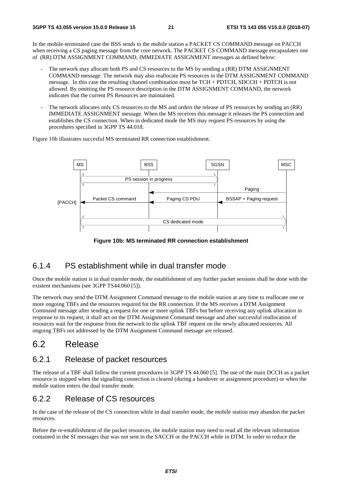In the mobile-terminated case the BSS sends to the mobile station a PACKET CS COMMAND message on PACCH when receiving a CS paging message from the core network. The PACKET CS COMMAND message encapsulates one of (RR) DTM ASSIGNMENT COMMAND, IMMEDIATE ASSIGNMENT messages as defined below:

- The network may allocate both PS and CS resources to the MS by sending a (RR) DTM ASSIGNMENT COMMAND message. The network may also reallocate PS resources in the DTM ASSIGNMENT COMMAND message. In this case the resulting channel combination must be TCH + PDTCH, SDCCH + PDTCH is not allowed. By omitting the PS resource description in the DTM ASSIGNMENT COMMAND, the network indicates that the current PS Resources are maintained.
- The network allocates only CS resources to the MS and orders the release of PS resources by sending an (RR) IMMEDIATE ASSIGNMENT message. When the MS receives this message it releases the PS connection and establishes the CS connection. When in dedicated mode the MS may request PS resources by using the procedures specified in 3GPP TS 44.018.

Figure 10b illustrates succesful MS terminated RR connection establishment.



**Figure 10b: MS terminated RR connection establishment** 

## 6.1.4 PS establishment while in dual transfer mode

Once the mobile station is in dual transfer mode, the establishment of any further packet sessions shall be done with the existent mechanisms (see 3GPP TS44.060 [5]).

The network may send the DTM Assignment Command message to the mobile station at any time to reallocate one or more ongoing TBFs and the resources required for the RR connection. If the MS receives a DTM Assignment Command message after sending a request for one or more uplink TBFs but before receiving any uplink allocation in response to its request, it shall act on the DTM Assignment Command message and after successful reallocation of resources wait for the response from the network to the uplink TBF request on the newly allocated resources. All ongoing TBFs not addressed by the DTM Assignment Command message are released.

## 6.2 Release

### 6.2.1 Release of packet resources

The release of a TBF shall follow the current procedures in 3GPP TS 44.060 [5]. The use of the main DCCH as a packet resource is stopped when the signalling connection is cleared (during a handover or assignment procedure) or when the mobile station enters the dual transfer mode.

## 6.2.2 Release of CS resources

In the case of the release of the CS connection while in dual transfer mode, the mobile station may abandon the packet resources.

Before the re-establishment of the packet resources, the mobile station may need to read all the relevant information contained in the SI messages that was not sent in the SACCH or the PACCH while in DTM. In order to reduce the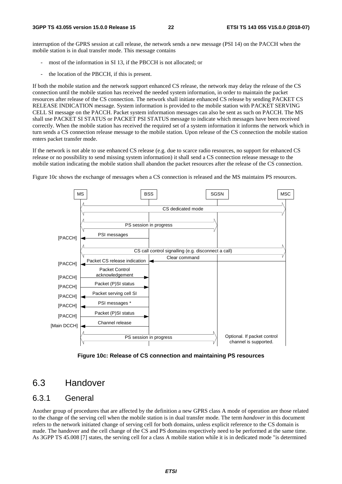interruption of the GPRS session at call release, the network sends a new message (PSI 14) on the PACCH when the mobile station is in dual transfer mode. This message contains

- most of the information in SI 13, if the PBCCH is not allocated; or
- the location of the PBCCH, if this is present.

If both the mobile station and the network support enhanced CS release, the network may delay the release of the CS connection until the mobile station has received the needed system information, in order to maintain the packet resources after release of the CS connection. The network shall initiate enhanced CS release by sending PACKET CS RELEASE INDICATION message. System information is provided to the mobile station with PACKET SERVING CELL SI message on the PACCH. Packet system information messages can also be sent as such on PACCH. The MS shall use PACKET SI STATUS or PACKET PSI STATUS message to indicate which messages have been received correctly. When the mobile station has received the required set of a system information it informs the network which in turn sends a CS connection release message to the mobile station. Upon release of the CS connection the mobile station enters packet transfer mode.

If the network is not able to use enhanced CS release (e.g. due to scarce radio resources, no support for enhanced CS release or no possibility to send missing system information) it shall send a CS connection release message to the mobile station indicating the mobile station shall abandon the packet resources after the release of the CS connection.

Figure 10c shows the exchange of messages when a CS connection is released and the MS maintains PS resources.



**Figure 10c: Release of CS connection and maintaining PS resources** 

## 6.3 Handover

### 6.3.1 General

Another group of procedures that are affected by the definition a new GPRS class A mode of operation are those related to the change of the serving cell when the mobile station is in dual transfer mode. The term *handover* in this document refers to the network initiated change of serving cell for both domains, unless explicit reference to the CS domain is made. The handover and the cell change of the CS and PS domains respectively need to be performed at the same time. As 3GPP TS 45.008 [7] states, the serving cell for a class A mobile station while it is in dedicated mode "is determined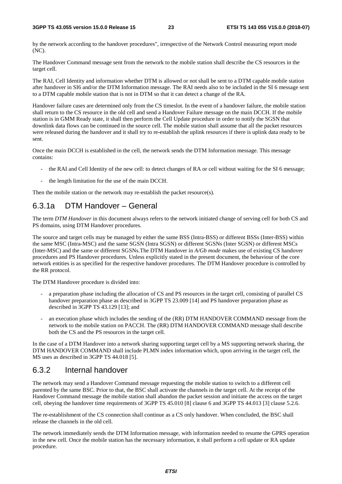by the network according to the handover procedures", irrespective of the Network Control measuring report mode (NC).

The Handover Command message sent from the network to the mobile station shall describe the CS resources in the target cell.

The RAI, Cell Identity and information whether DTM is allowed or not shall be sent to a DTM capable mobile station after handover in SI6 and/or the DTM Information message. The RAI needs also to be included in the SI 6 message sent to a DTM capable mobile station that is not in DTM so that it can detect a change of the RA.

Handover failure cases are determined only from the CS timeslot. In the event of a handover failure, the mobile station shall return to the CS resource in the old cell and send a Handover Failure message on the main DCCH. If the mobile station is in GMM Ready state, it shall then perform the Cell Update procedure in order to notify the SGSN that downlink data flows can be continued in the source cell. The mobile station shall assume that all the packet resources were released during the handover and it shall try to re-establish the uplink resources if there is uplink data ready to be sent.

Once the main DCCH is established in the cell, the network sends the DTM Information message. This message contains:

- the RAI and Cell Identity of the new cell: to detect changes of RA or cell without waiting for the SI 6 message;
- the length limitation for the use of the main DCCH.

Then the mobile station or the network may re-establish the packet resource(s).

## 6.3.1a DTM Handover – General

The term *DTM Handover* in this document always refers to the network initiated change of serving cell for both CS and PS domains, using DTM Handover procedures.

The source and target cells may be managed by either the same BSS (Intra-BSS) or different BSSs (Inter-BSS) within the same MSC (Intra-MSC) and the same SGSN (Intra SGSN) or different SGSNs (Inter SGSN) or different MSCs (Inter-MSC) and the same or different SGSNs.The DTM Handover in *A/Gb mode* makes use of existing CS handover procedures and PS Handover procedures. Unless explicitly stated in the present document, the behaviour of the core network entities is as specified for the respective handover procedures. The DTM Handover procedure is controlled by the RR protocol.

The DTM Handover procedure is divided into:

- a preparation phase including the allocation of CS and PS resources in the target cell, consisting of parallel CS handover preparation phase as described in 3GPP TS 23.009 [14] and PS handover preparation phase as described in 3GPP TS 43.129 [13]; and
- an execution phase which includes the sending of the (RR) DTM HANDOVER COMMAND message from the network to the mobile station on PACCH. The (RR) DTM HANDOVER COMMAND message shall describe both the CS and the PS resources in the target cell.

In the case of a DTM Handover into a network sharing supporting target cell by a MS supporting network sharing, the DTM HANDOVER COMMAND shall include PLMN index information which, upon arriving in the target cell, the MS uses as described in 3GPP TS 44.018 [5].

### 6.3.2 Internal handover

The network may send a Handover Command message requesting the mobile station to switch to a different cell parented by the same BSC. Prior to that, the BSC shall activate the channels in the target cell. At the receipt of the Handover Command message the mobile station shall abandon the packet session and initiate the access on the target cell, obeying the handover time requirements of 3GPP TS 45.010 [8] clause 6 and 3GPP TS 44.013 [3] clause 5.2.6.

The re-establishment of the CS connection shall continue as a CS only handover. When concluded, the BSC shall release the channels in the old cell.

The network immediately sends the DTM Information message, with information needed to resume the GPRS operation in the new cell. Once the mobile station has the necessary information, it shall perform a cell update or RA update procedure.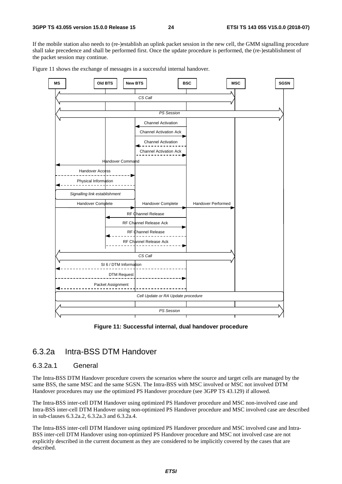If the mobile station also needs to (re-)establish an uplink packet session in the new cell, the GMM signalling procedure shall take precedence and shall be performed first. Once the update procedure is performed, the (re-)establishment of the packet session may continue.





**Figure 11: Successful internal, dual handover procedure** 

## 6.3.2a Intra-BSS DTM Handover

### 6.3.2a.1 General

The Intra-BSS DTM Handover procedure covers the scenarios where the source and target cells are managed by the same BSS, the same MSC and the same SGSN. The Intra-BSS with MSC involved or MSC not involved DTM Handover procedures may use the optimized PS Handover procedure (see 3GPP TS 43.129) if allowed.

The Intra-BSS inter-cell DTM Handover using optimized PS Handover procedure and MSC non-involved case and Intra-BSS inter-cell DTM Handover using non-optimized PS Handover procedure and MSC involved case are described in sub-clauses 6.3.2a.2, 6.3.2a.3 and 6.3.2a.4.

The Intra-BSS inter-cell DTM Handover using optimized PS Handover procedure and MSC involved case and Intra-BSS inter-cell DTM Handover using non-optimized PS Handover procedure and MSC not involved case are not explicitly described in the current document as they are considered to be implicitly covered by the cases that are described.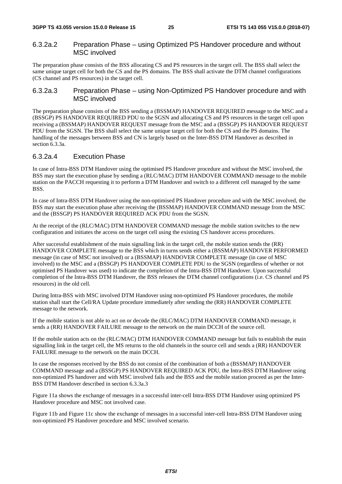### 6.3.2a.2 Preparation Phase – using Optimized PS Handover procedure and without MSC involved

The preparation phase consists of the BSS allocating CS and PS resources in the target cell. The BSS shall select the same unique target cell for both the CS and the PS domains. The BSS shall activate the DTM channel configurations (CS channel and PS resources) in the target cell.

### 6.3.2a.3 Preparation Phase – using Non-Optimized PS Handover procedure and with MSC involved

The preparation phase consists of the BSS sending a (BSSMAP) HANDOVER REQUIRED message to the MSC and a (BSSGP) PS HANDOVER REQUIRED PDU to the SGSN and allocating CS and PS resources in the target cell upon receiving a (BSSMAP) HANDOVER REQUEST message from the MSC and a (BSSGP) PS HANDOVER REQUEST PDU from the SGSN. The BSS shall select the same unique target cell for both the CS and the PS domains. The handling of the messages between BSS and CN is largely based on the Inter-BSS DTM Handover as described in section 6.3.3a.

### 6.3.2a.4 Execution Phase

In case of Intra-BSS DTM Handover using the optimised PS Handover procedure and without the MSC involved, the BSS may start the execution phase by sending a (RLC/MAC) DTM HANDOVER COMMAND message to the mobile station on the PACCH requesting it to perform a DTM Handover and switch to a different cell managed by the same BSS.

In case of Intra-BSS DTM Handover using the non-optimised PS Handover procedure and with the MSC involved, the BSS may start the execution phase after receiving the (BSSMAP) HANDOVER COMMAND message from the MSC and the (BSSGP) PS HANDOVER REQUIRED ACK PDU from the SGSN.

At the receipt of the (RLC/MAC) DTM HANDOVER COMMAND message the mobile station switches to the new configuration and initiates the access on the target cell using the existing CS handover access procedures.

After successful establishment of the main signalling link in the target cell, the mobile station sends the (RR) HANDOVER COMPLETE message to the BSS which in turns sends either a (BSSMAP) HANDOVER PERFORMED message (in case of MSC not involved) or a (BSSMAP) HANDOVER COMPLETE message (in case of MSC involved) to the MSC and a (BSSGP) PS HANDOVER COMPLETE PDU to the SGSN (regardless of whether or not optimised PS Handover was used) to indicate the completion of the Intra-BSS DTM Handover. Upon successful completion of the Intra-BSS DTM Handover, the BSS releases the DTM channel configurations (i.e. CS channel and PS resources) in the old cell.

During Intra-BSS with MSC involved DTM Handover using non-optimized PS Handover procedures, the mobile station shall start the Cell/RA Update procedure immediately after sending the (RR) HANDOVER COMPLETE message to the network.

If the mobile station is not able to act on or decode the (RLC/MAC) DTM HANDOVER COMMAND message, it sends a (RR) HANDOVER FAILURE message to the network on the main DCCH of the source cell.

If the mobile station acts on the (RLC/MAC) DTM HANDOVER COMMAND message but fails to establish the main signalling link in the target cell, the MS returns to the old channels in the source cell and sends a (RR) HANDOVER FAILURE message to the network on the main DCCH.

In case the responses received by the BSS do not consist of the combination of both a (BSSMAP) HANDOVER COMMAND message and a (BSSGP) PS HANDOVER REQUIRED ACK PDU, the Intra-BSS DTM Handover using non-optimized PS handover and with MSC involved fails and the BSS and the mobile station proceed as per the Inter-BSS DTM Handover described in section 6.3.3a.3

Figure 11a shows the exchange of messages in a successful inter-cell Intra-BSS DTM Handover using optimized PS Handover procedure and MSC not involved case.

Figure 11b and Figure 11c show the exchange of messages in a successful inter-cell Intra-BSS DTM Handover using non-optimized PS Handover procedure and MSC involved scenario.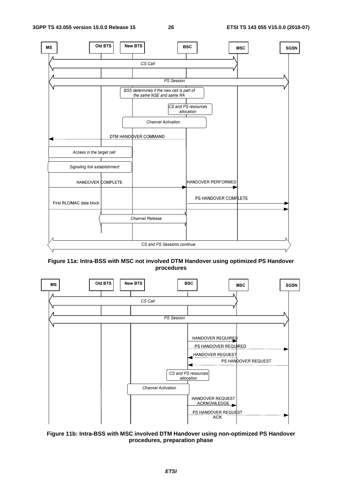

**Figure 11a: Intra-BSS with MSC not involved DTM Handover using optimized PS Handover procedures** 



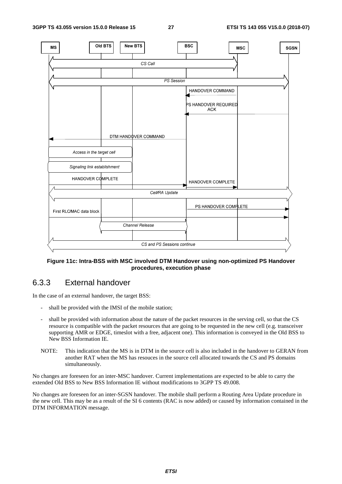

#### **Figure 11c: Intra-BSS with MSC involved DTM Handover using non-optimized PS Handover procedures, execution phase**

## 6.3.3 External handover

In the case of an external handover, the target BSS:

- shall be provided with the IMSI of the mobile station;
- shall be provided with information about the nature of the packet resources in the serving cell, so that the CS resource is compatible with the packet resources that are going to be requested in the new cell (e.g. transceiver supporting AMR or EDGE, timeslot with a free, adjacent one). This information is conveyed in the Old BSS to New BSS Information IE.
- NOTE: This indication that the MS is in DTM in the source cell is also included in the handover to GERAN from another RAT when the MS has resouces in the source cell allocated towards the CS and PS domains simultaneously.

No changes are foreseen for an inter-MSC handover. Current implementations are expected to be able to carry the extended Old BSS to New BSS Information IE without modifications to 3GPP TS 49.008.

No changes are foreseen for an inter-SGSN handover. The mobile shall perform a Routing Area Update procedure in the new cell. This may be as a result of the SI 6 contents (RAC is now added) or caused by information contained in the DTM INFORMATION message.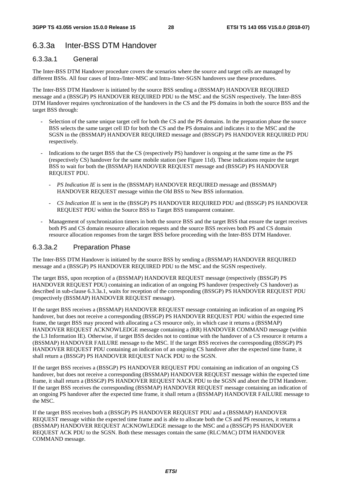## 6.3.3a Inter-BSS DTM Handover

#### 6.3.3a.1 General

The Inter-BSS DTM Handover procedure covers the scenarios where the source and target cells are managed by different BSSs. All four cases of Intra-/Inter-MSC and Intra-/Inter-SGSN handovers use these procedures.

The Inter-BSS DTM Handover is initiated by the source BSS sending a (BSSMAP) HANDOVER REQUIRED message and a (BSSGP) PS HANDOVER REQUIRED PDU to the MSC and the SGSN respectively. The Inter-BSS DTM Handover requires synchronization of the handovers in the CS and the PS domains in both the source BSS and the target BSS through:

- Selection of the same unique target cell for both the CS and the PS domains. In the preparation phase the source BSS selects the same target cell ID for both the CS and the PS domains and indicates it to the MSC and the SGSN in the (BSSMAP) HANDOVER REQUIRED message and (BSSGP) PS HANDOVER REQUIRED PDU respectively.
- Indications to the target BSS that the CS (respectively PS) handover is ongoing at the same time as the PS (respectively CS) handover for the same mobile station (see Figure 11d). These indications require the target BSS to wait for both the (BSSMAP) HANDOVER REQUEST message and (BSSGP) PS HANDOVER REQUEST PDU.
	- *PS Indication IE* is sent in the (BSSMAP) HANDOVER REQUIRED message and (BSSMAP) HANDOVER REQUEST message within the Old BSS to New BSS information.
	- *CS Indication IE* is sent in the (BSSGP) PS HANDOVER REQUIRED PDU and (BSSGP) PS HANDOVER REQUEST PDU within the Source BSS to Target BSS transparent container.
- Management of synchronization timers in both the source BSS and the target BSS that ensure the target receives both PS and CS domain resource allocation requests and the source BSS receives both PS and CS domain resource allocation responses from the target BSS before proceeding with the Inter-BSS DTM Handover.

### 6.3.3a.2 Preparation Phase

The Inter-BSS DTM Handover is initiated by the source BSS by sending a (BSSMAP) HANDOVER REQUIRED message and a (BSSGP) PS HANDOVER REQUIRED PDU to the MSC and the SGSN respectively.

The target BSS, upon reception of a (BSSMAP) HANDOVER REQUEST message (respectively (BSSGP) PS HANDOVER REQUEST PDU) containing an indication of an ongoing PS handover (respectively CS handover) as described in sub-clause 6.3.3a.1, waits for reception of the corresponding (BSSGP) PS HANDOVER REQUEST PDU (respectively (BSSMAP) HANDOVER REQUEST message).

If the target BSS receives a (BSSMAP) HANDOVER REQUEST message containing an indication of an ongoing PS handover, but does not receive a corresponding (BSSGP) PS HANDOVER REQUEST PDU within the expected time frame, the target BSS may proceed with allocating a CS resource only, in which case it returns a (BSSMAP) HANDOVER REQUEST ACKNOWLEDGE message containing a (RR) HANDOVER COMMAND message (within the L3 Information IE). Otherwise, if target BSS decides not to continue with the handover of a CS resource it returns a (BSSMAP) HANDOVER FAILURE message to the MSC. If the target BSS receives the corresponding (BSSGP) PS HANDOVER REQUEST PDU containing an indication of an ongoing CS handover after the expected time frame, it shall return a (BSSGP) PS HANDOVER REQUEST NACK PDU to the SGSN.

If the target BSS receives a (BSSGP) PS HANDOVER REQUEST PDU containing an indication of an ongoing CS handover, but does not receive a corresponding (BSSMAP) HANDOVER REQUEST message within the expected time frame, it shall return a (BSSGP) PS HANDOVER REQUEST NACK PDU to the SGSN and abort the DTM Handover. If the target BSS receives the corresponding (BSSMAP) HANDOVER REQUEST message containing an indication of an ongoing PS handover after the expected time frame, it shall return a (BSSMAP) HANDOVER FAILURE message to the MSC.

If the target BSS receives both a (BSSGP) PS HANDOVER REQUEST PDU and a (BSSMAP) HANDOVER REQUEST message within the expected time frame and is able to allocate both the CS and PS resources, it returns a (BSSMAP) HANDOVER REQUEST ACKNOWLEDGE message to the MSC and a (BSSGP) PS HANDOVER REQUEST ACK PDU to the SGSN. Both these messages contain the same (RLC/MAC) DTM HANDOVER COMMAND message.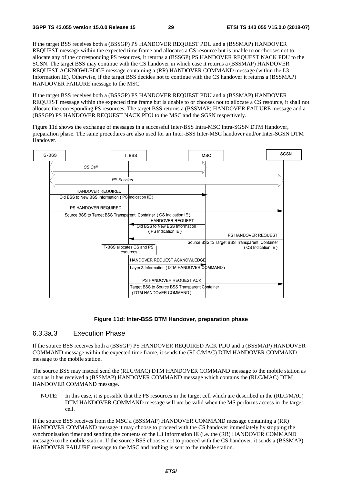If the target BSS receives both a (BSSGP) PS HANDOVER REQUEST PDU and a (BSSMAP) HANDOVER REQUEST message within the expected time frame and allocates a CS resource but is unable to or chooses not to allocate any of the corresponding PS resources, it returns a (BSSGP) PS HANDOVER REQUEST NACK PDU to the SGSN. The target BSS may continue with the CS handover in which case it returns a (BSSMAP) HANDOVER REQUEST ACKNOWLEDGE message containing a (RR) HANDOVER COMMAND message (within the L3 Information IE). Otherwise, if the target BSS decides not to continue with the CS handover it returns a (BSSMAP) HANDOVER FAILURE message to the MSC.

If the target BSS receives both a (BSSGP) PS HANDOVER REQUEST PDU and a (BSSMAP) HANDOVER REQUEST message within the expected time frame but is unable to or chooses not to allocate a CS resource, it shall not allocate the corresponding PS resources. The target BSS returns a (BSSMAP) HANDOVER FAILURE message and a (BSSGP) PS HANDOVER REQUEST NACK PDU to the MSC and the SGSN respectively.

Figure 11d shows the exchange of messages in a successful Inter-BSS Intra-MSC Intra-SGSN DTM Handover, preparation phase. The same procedures are also used for an Inter-BSS Inter-MSC handover and/or Inter-SGSN DTM Handover.



#### **Figure 11d: Inter-BSS DTM Handover, preparation phase**

### 6.3.3a.3 Execution Phase

If the source BSS receives both a (BSSGP) PS HANDOVER REQUIRED ACK PDU and a (BSSMAP) HANDOVER COMMAND message within the expected time frame, it sends the (RLC/MAC) DTM HANDOVER COMMAND message to the mobile station.

The source BSS may instead send the (RLC/MAC) DTM HANDOVER COMMAND message to the mobile station as soon as it has received a (BSSMAP) HANDOVER COMMAND message which contains the (RLC/MAC) DTM HANDOVER COMMAND message.

NOTE: In this case, it is possible that the PS resources in the target cell which are described in the (RLC/MAC) DTM HANDOVER COMMAND message will not be valid when the MS performs access in the target cell.

If the source BSS receives from the MSC a (BSSMAP) HANDOVER COMMAND message containing a (RR) HANDOVER COMMAND message it may choose to proceed with the CS handover immediately by stopping the synchronisation timer and sending the contents of the L3 Information IE (i.e. the (RR) HANDOVER COMMAND message) to the mobile station. If the source BSS chooses not to proceed with the CS handover, it sends a (BSSMAP) HANDOVER FAILURE message to the MSC and nothing is sent to the mobile station.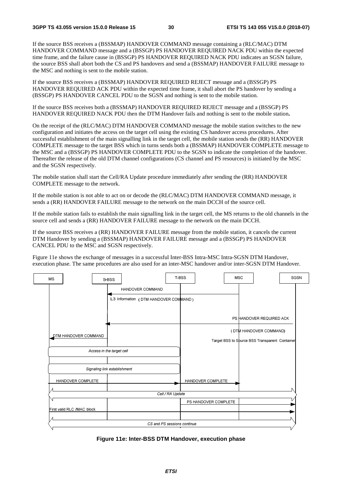If the source BSS receives a (BSSMAP) HANDOVER COMMAND message containing a (RLC/MAC) DTM HANDOVER COMMAND message and a (BSSGP) PS HANDOVER REQUIRED NACK PDU within the expected time frame, and the failure cause in (BSSGP) PS HANDOVER REQUIRED NACK PDU indicates an SGSN failure, the source BSS shall abort both the CS and PS handovers and send a (BSSMAP) HANDOVER FAILURE message to the MSC and nothing is sent to the mobile station.

If the source BSS receives a (BSSMAP) HANDOVER REQUIRED REJECT message and a (BSSGP) PS HANDOVER REQUIRED ACK PDU within the expected time frame, it shall abort the PS handover by sending a (BSSGP) PS HANDOVER CANCEL PDU to the SGSN and nothing is sent to the mobile station.

If the source BSS receives both a (BSSMAP) HANDOVER REQUIRED REJECT message and a (BSSGP) PS HANDOVER REQUIRED NACK PDU then the DTM Handover fails and nothing is sent to the mobile station**.**

On the receipt of the (RLC/MAC) DTM HANDOVER COMMAND message the mobile station switches to the new configuration and initiates the access on the target cell using the existing CS handover access procedures. After successful establishment of the main signalling link in the target cell, the mobile station sends the (RR) HANDOVER COMPLETE message to the target BSS which in turns sends both a (BSSMAP) HANDOVER COMPLETE message to the MSC and a (BSSGP) PS HANDOVER COMPLETE PDU to the SGSN to indicate the completion of the handover. Thereafter the release of the old DTM channel configurations (CS channel and PS resources) is initiated by the MSC and the SGSN respectively.

The mobile station shall start the Cell/RA Update procedure immediately after sending the (RR) HANDOVER COMPLETE message to the network.

If the mobile station is not able to act on or decode the (RLC/MAC) DTM HANDOVER COMMAND message, it sends a (RR) HANDOVER FAILURE message to the network on the main DCCH of the source cell.

If the mobile station fails to establish the main signalling link in the target cell, the MS returns to the old channels in the source cell and sends a (RR) HANDOVER FAILURE message to the network on the main DCCH.

If the source BSS receives a (RR) HANDOVER FAILURE message from the mobile station, it cancels the current DTM Handover by sending a (BSSMAP) HANDOVER FAILURE message and a (BSSGP) PS HANDOVER CANCEL PDU to the MSC and SGSN respectively.

Figure 11e shows the exchange of messages in a successful Inter-BSS Intra-MSC Intra-SGSN DTM Handover, execution phase. The same procedures are also used for an inter-MSC handover and/or inter-SGSN DTM Handover.

| HANDOVER COMMAND<br>L3 Information (DTM HANDOVER COMMAND)<br>DTM HANDOVER COMMAND<br>Access in the target cell<br>Signaling link establishment<br>HANDOVER COMPLETE | PS HANDOVER REQUIRED ACK<br>(DTM HANDOVER COMMAND) |
|---------------------------------------------------------------------------------------------------------------------------------------------------------------------|----------------------------------------------------|
|                                                                                                                                                                     |                                                    |
|                                                                                                                                                                     |                                                    |
|                                                                                                                                                                     |                                                    |
|                                                                                                                                                                     |                                                    |
|                                                                                                                                                                     | Target BSS to Spurce BSS Transparent Container     |
|                                                                                                                                                                     |                                                    |
|                                                                                                                                                                     |                                                    |
|                                                                                                                                                                     | HANDOVER COMPLETE                                  |
| Cell / RA Update                                                                                                                                                    |                                                    |
|                                                                                                                                                                     |                                                    |
| First valid RLC /MAC block                                                                                                                                          | PS HANDOVER COMPLETE                               |
| CS and PS sessions continue                                                                                                                                         |                                                    |

**Figure 11e: Inter-BSS DTM Handover, execution phase**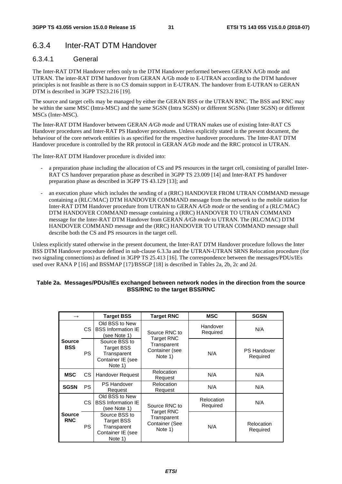## 6.3.4 Inter-RAT DTM Handover

### 6.3.4.1 General

The Inter-RAT DTM Handover refers only to the DTM Handover performed between GERAN A/Gb mode and UTRAN. The inter-RAT DTM handover from GERAN A/Gb mode to E-UTRAN according to the DTM handover principles is not feasible as there is no CS domain support in E-UTRAN. The handover from E-UTRAN to GERAN DTM is described in 3GPP TS23.216 [19].

The source and target cells may be managed by either the GERAN BSS or the UTRAN RNC. The BSS and RNC may be within the same MSC (Intra-MSC) and the same SGSN (Intra SGSN) or different SGSNs (Inter SGSN) or different MSCs (Inter-MSC).

The Inter-RAT DTM Handover between GERAN *A/Gb mode* and UTRAN makes use of existing Inter-RAT CS Handover procedures and Inter-RAT PS Handover procedures. Unless explicitly stated in the present document, the behaviour of the core network entities is as specified for the respective handover procedures. The Inter-RAT DTM Handover procedure is controlled by the RR protocol in GERAN *A/Gb mode* and the RRC protocol in UTRAN.

The Inter-RAT DTM Handover procedure is divided into:

- a preparation phase including the allocation of CS and PS resources in the target cell, consisting of parallel Inter-RAT CS handover preparation phase as described in 3GPP TS 23.009 [14] and Inter-RAT PS handover preparation phase as described in 3GPP TS 43.129 [13]; and
- an execution phase which includes the sending of a (RRC) HANDOVER FROM UTRAN COMMAND message containing a (RLC/MAC) DTM HANDOVER COMMAND message from the network to the mobile station for Inter-RAT DTM Handover procedure from UTRAN to GERAN *A/Gb mode* or the sending of a (RLC/MAC) DTM HANDOVER COMMAND message containing a (RRC) HANDOVER TO UTRAN COMMAND message for the Inter-RAT DTM Handover from GERAN *A/Gb mode* to UTRAN. The (RLC/MAC) DTM HANDOVER COMMAND message and the (RRC) HANDOVER TO UTRAN COMMAND message shall describe both the CS and PS resources in the target cell.

Unless explicitly stated otherwise in the present document, the Inter-RAT DTM Handover procedure follows the Inter BSS DTM Handover procedure defined in sub-clause 6.3.3a and the UTRAN-UTRAN SRNS Relocation procedure (for two signaling connections) as defined in 3GPP TS 25.413 [16]. The correspondence between the messages/PDUs/IEs used over RANA P [16] and BSSMAP [17]/BSSGP [18] is described in Tables 2a, 2b, 2c and 2d.

#### **Table 2a. Messages/PDUs/IEs exchanged between network nodes in the direction from the source BSS/RNC to the target BSS/RNC**

|                             |           | <b>Target BSS</b>                                                                 | <b>Target RNC</b>                                             | MSC                    | <b>SGSN</b>                    |
|-----------------------------|-----------|-----------------------------------------------------------------------------------|---------------------------------------------------------------|------------------------|--------------------------------|
|                             | CS.       | Old BSS to New<br><b>BSS Information IE</b><br>Source RNC to<br>(see Note 1)      |                                                               | Handover<br>Required   | N/A                            |
| <b>Source</b><br><b>BSS</b> | <b>PS</b> | Source BSS to<br><b>Target BSS</b><br>Transparent<br>Container IE (see<br>Note 1) | <b>Target RNC</b><br>Transparent<br>Container (see<br>Note 1) | N/A                    | <b>PS Handover</b><br>Required |
| <b>MSC</b>                  | CS.       | Handover Request                                                                  | Relocation<br>Request                                         | N/A                    | N/A                            |
| <b>SGSN</b>                 | <b>PS</b> | <b>PS Handover</b><br>Request                                                     | Relocation<br>Request                                         | N/A                    | N/A                            |
|                             | CS.       | Old BSS to New<br><b>BSS Information IE</b><br>(see Note 1)                       | Source RNC to                                                 | Relocation<br>Required | N/A                            |
| <b>Source</b><br><b>RNC</b> | PS.       | Source BSS to<br>Target BSS<br>Transparent<br>Container IE (see<br>Note 1)        | Target RNC<br>Transparent<br>Container (See<br>Note 1)        | N/A                    | Relocation<br>Required         |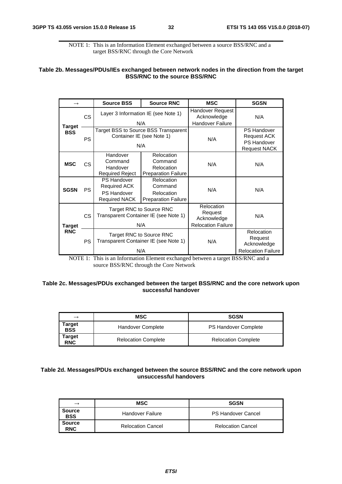NOTE 1: This is an Information Element exchanged between a source BSS/RNC and a target BSS/RNC through the Core Network

#### **Table 2b. Messages/PDUs/IEs exchanged between network nodes in the direction from the target BSS/RNC to the source BSS/RNC**

|                      |           | <b>Source BSS</b>                                                                | <b>Source RNC</b>                                                        | <b>MSC</b>                                                        | <b>SGSN</b>                                                                           |
|----------------------|-----------|----------------------------------------------------------------------------------|--------------------------------------------------------------------------|-------------------------------------------------------------------|---------------------------------------------------------------------------------------|
| Target<br><b>BSS</b> | <b>CS</b> |                                                                                  | Layer 3 Information IE (see Note 1)<br>N/A                               | Handover Request<br>Acknowledge<br><b>Handover Failure</b>        | N/A                                                                                   |
|                      | <b>PS</b> |                                                                                  | Target BSS to Source BSS Transparent<br>Container IE (see Note 1)<br>N/A | N/A                                                               | <b>PS Handover</b><br><b>Request ACK</b><br><b>PS Handover</b><br><b>Request NACK</b> |
| <b>MSC</b>           | CS.       | Handover<br>Command<br>Handover<br><b>Required Reject</b>                        | Relocation<br>Command<br>Relocation<br><b>Preparation Failure</b>        | N/A                                                               | N/A                                                                                   |
| <b>SGSN</b>          | <b>PS</b> | <b>PS Handover</b><br><b>Required ACK</b><br>PS Handover<br><b>Required NACK</b> | Relocation<br>Command<br>Relocation<br><b>Preparation Failure</b>        | N/A                                                               | N/A                                                                                   |
| <b>CS</b><br>Target  |           |                                                                                  | Target RNC to Source RNC<br>Transparent Container IE (see Note 1)<br>N/A | Relocation<br>Request<br>Acknowledge<br><b>Relocation Failure</b> | N/A                                                                                   |
| <b>RNC</b>           | <b>PS</b> |                                                                                  | Target RNC to Source RNC<br>Transparent Container IE (see Note 1)<br>N/A | N/A                                                               | Relocation<br>Request<br>Acknowledge<br><b>Relocation Failure</b>                     |

NOTE 1: This is an Information Element exchanged between a target BSS/RNC and a source BSS/RNC through the Core Network

#### **Table 2c. Messages/PDUs exchanged between the target BSS/RNC and the core network upon successful handover**

| $\rightarrow$ | MSC                        | <b>SGSN</b>                |
|---------------|----------------------------|----------------------------|
| Target<br>BSS | <b>Handover Complete</b>   | PS Handover Complete       |
| Target<br>RNC | <b>Relocation Complete</b> | <b>Relocation Complete</b> |

#### **Table 2d. Messages/PDUs exchanged between the source BSS/RNC and the core network upon unsuccessful handovers**

| $\rightarrow$               | MSC                      | <b>SGSN</b>               |
|-----------------------------|--------------------------|---------------------------|
| <b>Source</b><br><b>BSS</b> | Handover Failure         | <b>PS Handover Cancel</b> |
| <b>Source</b><br><b>RNC</b> | <b>Relocation Cancel</b> | <b>Relocation Cancel</b>  |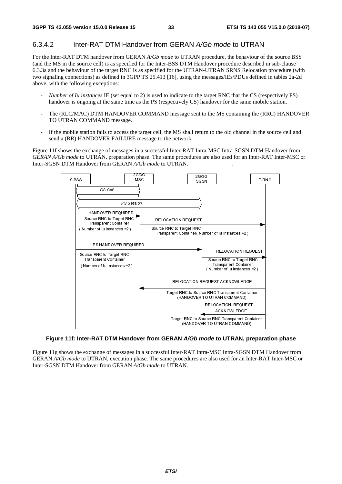### 6.3.4.2 Inter-RAT DTM Handover from GERAN *A/Gb mode* to UTRAN

For the Inter-RAT DTM handover from GERAN *A/Gb mode* to UTRAN procedure, the behaviour of the source BSS (and the MS in the source cell) is as specified for the Inter-BSS DTM Handover procedure described in sub-clause 6.3.3a and the behaviour of the target RNC is as specified for the UTRAN-UTRAN SRNS Relocation procedure (with two signaling connections) as defined in 3GPP TS 25.413 [16], using the messages/IEs/PDUs defined in tables 2a-2d above, with the following exceptions:

- *Number of Iu instances* IE (set equal to 2) is used to indicate to the target RNC that the CS (respectively PS) handover is ongoing at the same time as the PS (respectively CS) handover for the same mobile station.
- The (RLC/MAC) DTM HANDOVER COMMAND message sent to the MS containing the (RRC) HANDOVER TO UTRAN COMMAND message.
- If the mobile station fails to access the target cell, the MS shall return to the old channel in the source cell and send a (RR) HANDOVER FAILURE message to the network.

Figure 11f shows the exchange of messages in a successful Inter-RAT Intra-MSC Intra-SGSN DTM Handover from *GERAN A/Gb mode* to UTRAN, preparation phase. The same procedures are also used for an Inter-RAT Inter-MSC or Inter-SGSN DTM Handover from GERAN *A/Gb mode* to UTRAN. .



### **Figure 11f: Inter-RAT DTM Handover from GERAN** *A/Gb mode* **to UTRAN, preparation phase**

Figure 11g shows the exchange of messages in a successful Inter-RAT Intra-MSC Intra-SGSN DTM Handover from GERAN *A/Gb mode* to UTRAN, execution phase. The same procedures are also used for an Inter-RAT Inter-MSC or Inter-SGSN DTM Handover from GERAN *A/Gb mode* to UTRAN.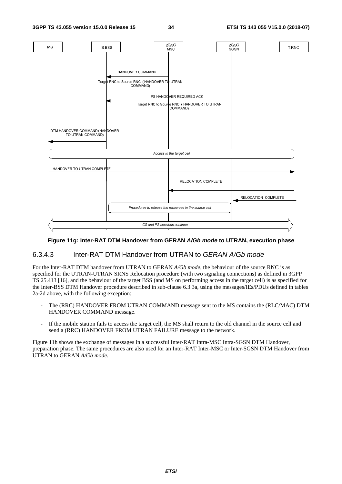

### **Figure 11g: Inter-RAT DTM Handover from GERAN** *A/Gb mode* **to UTRAN, execution phase**

### 6.3.4.3 Inter-RAT DTM Handover from UTRAN to *GERAN A/Gb mode*

For the Inter-RAT DTM handover from UTRAN to GERAN *A/Gb mode*, the behaviour of the source RNC is as specified for the UTRAN-UTRAN SRNS Relocation procedure (with two signaling connections) as defined in 3GPP TS 25.413 [16], and the behaviour of the target BSS (and MS on performing access in the target cell) is as specified for the Inter-BSS DTM Handover procedure described in sub-clause 6.3.3a, using the messages/IEs/PDUs defined in tables 2a-2d above, with the following exception:

- The (RRC) HANDOVER FROM UTRAN COMMAND message sent to the MS contains the (RLC/MAC) DTM HANDOVER COMMAND message.
- If the mobile station fails to access the target cell, the MS shall return to the old channel in the source cell and send a (RRC) HANDOVER FROM UTRAN FAILURE message to the network.

Figure 11h shows the exchange of messages in a successful Inter-RAT Intra-MSC Intra-SGSN DTM Handover*,* preparation phase. The same procedures are also used for an Inter-RAT Inter-MSC or Inter-SGSN DTM Handover from UTRAN to GERAN *A/Gb mode*.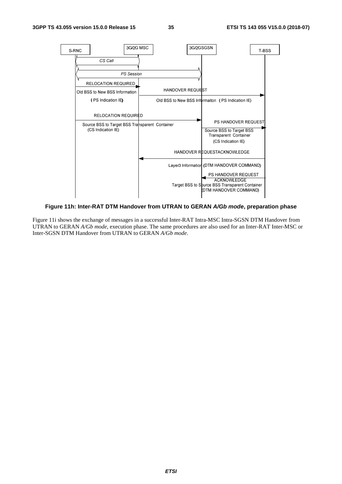

#### **Figure 11h: Inter-RAT DTM Handover from UTRAN to GERAN** *A/Gb mode***, preparation phase**

Figure 11i shows the exchange of messages in a successful Inter-RAT Intra-MSC Intra-SGSN DTM Handover from UTRAN to GERAN *A/Gb mode*, execution phase. The same procedures are also used for an Inter-RAT Inter-MSC or Inter-SGSN DTM Handover from UTRAN to GERAN *A/Gb mode*.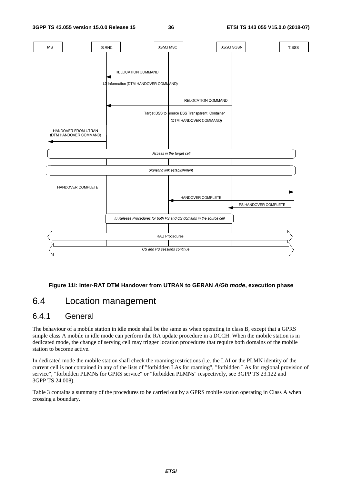

### **Figure 11i: Inter-RAT DTM Handover from UTRAN to GERAN** *A/Gb mode***, execution phase**

## 6.4 Location management

## 6.4.1 General

The behaviour of a mobile station in idle mode shall be the same as when operating in class B, except that a GPRS simple class A mobile in idle mode can perform the RA update procedure in a DCCH. When the mobile station is in dedicated mode, the change of serving cell may trigger location procedures that require both domains of the mobile station to become active.

In dedicated mode the mobile station shall check the roaming restrictions (i.e. the LAI or the PLMN identity of the current cell is not contained in any of the lists of "forbidden LAs for roaming", "forbidden LAs for regional provision of service", "forbidden PLMNs for GPRS service" or "forbidden PLMNs" respectively, see 3GPP TS 23.122 and 3GPP TS 24.008).

Table 3 contains a summary of the procedures to be carried out by a GPRS mobile station operating in Class A when crossing a boundary.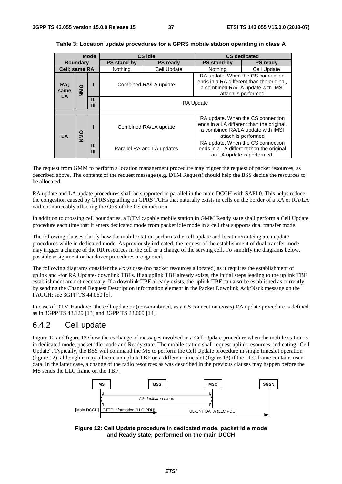| <b>Mode</b>       |               |         | CS idle            |                            | <b>CS dedicated</b>                                                                                                                        |                                                                                                                                            |  |
|-------------------|---------------|---------|--------------------|----------------------------|--------------------------------------------------------------------------------------------------------------------------------------------|--------------------------------------------------------------------------------------------------------------------------------------------|--|
| <b>Boundary</b>   |               |         | <b>PS stand-by</b> | <b>PS ready</b>            | <b>PS stand-by</b>                                                                                                                         | <b>PS ready</b>                                                                                                                            |  |
|                   | Cell; same RA |         | Nothing            | Cell Update                | <b>Nothing</b>                                                                                                                             | Cell Update                                                                                                                                |  |
| RA:<br>same<br>LA | OMN           |         |                    | Combined RA/LA update      | RA update. When the CS connection<br>ends in a RA different than the original,<br>a combined RA/LA update with IMSI<br>attach is performed |                                                                                                                                            |  |
|                   |               | Н,<br>Ш |                    |                            | <b>RA Update</b>                                                                                                                           |                                                                                                                                            |  |
|                   |               |         |                    |                            |                                                                                                                                            |                                                                                                                                            |  |
| LA                | <b>OMN</b>    |         |                    | Combined RA/LA update      |                                                                                                                                            | RA update. When the CS connection<br>ends in a LA different than the original,<br>a combined RA/LA update with IMSI<br>attach is performed |  |
|                   |               | Н,<br>Ш |                    | Parallel RA and LA updates |                                                                                                                                            | RA update. When the CS connection<br>ends in a LA different than the original<br>an LA update is performed.                                |  |

#### **Table 3: Location update procedures for a GPRS mobile station operating in class A**

The request from GMM to perform a location management procedure may trigger the request of packet resources, as described above. The contents of the request message (e.g. DTM Request) should help the BSS decide the resources to be allocated.

RA update and LA update procedures shall be supported in parallel in the main DCCH with SAPI 0. This helps reduce the congestion caused by GPRS signalling on GPRS TCHs that naturally exists in cells on the border of a RA or RA/LA without noticeably affecting the QoS of the CS connection.

In addition to crossing cell boundaries, a DTM capable mobile station in GMM Ready state shall perform a Cell Update procedure each time that it enters dedicated mode from packet idle mode in a cell that supports dual transfer mode.

The following clauses clarify how the mobile station performs the cell update and location/routeing area update procedures while in dedicated mode. As previously indicated, the request of the establishment of dual transfer mode may trigger a change of the RR resources in the cell or a change of the serving cell. To simplify the diagrams below, possible assignment or handover procedures are ignored.

The following diagrams consider the *worst* case (no packet resources allocated) as it requires the establishment of uplink and -for RA Update- downlink TBFs. If an uplink TBF already exists, the initial steps leading to the uplink TBF establishment are not necessary. If a downlink TBF already exists, the uplink TBF can also be established as currently by sending the Channel Request Description information element in the Packet Downlink Ack/Nack message on the PACCH; see 3GPP TS 44.060 [5].

In case of DTM Handover the cell update or (non-combined, as a CS connection exists) RA update procedure is defined as in 3GPP TS 43.129 [13] and 3GPP TS 23.009 [14].

### 6.4.2 Cell update

Figure 12 and figure 13 show the exchange of messages involved in a Cell Update procedure when the mobile station is in dedicated mode, packet idle mode and Ready state. The mobile station shall request uplink resources, indicating "Cell Update". Typically, the BSS will command the MS to perform the Cell Update procedure in single timeslot operation (figure 12), although it may allocate an uplink TBF on a different time slot (figure 13) if the LLC frame contains user data. In the latter case, a change of the radio resources as was described in the previous clauses may happen before the MS sends the LLC frame on the TBF.



**Figure 12: Cell Update procedure in dedicated mode, packet idle mode and Ready state; performed on the main DCCH**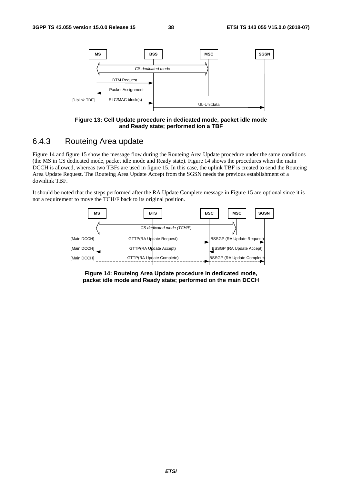

**Figure 13: Cell Update procedure in dedicated mode, packet idle mode and Ready state; performed ion a TBF** 

### 6.4.3 Routeing Area update

Figure 14 and figure 15 show the message flow during the Routeing Area Update procedure under the same conditions (the MS in CS dedicated mode, packet idle mode and Ready state). Figure 14 shows the procedures when the main DCCH is allowed, whereas two TBFs are used in figure 15. In this case, the uplink TBF is created to send the Routeing Area Update Request. The Routeing Area Update Accept from the SGSN needs the previous establishment of a downlink TBF.

It should be noted that the steps performed after the RA Update Complete message in Figure 15 are optional since it is not a requirement to move the TCH/F back to its original position.



**Figure 14: Routeing Area Update procedure in dedicated mode, packet idle mode and Ready state; performed on the main DCCH**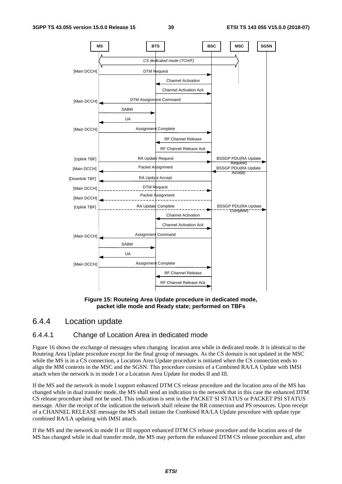

**Figure 15: Routeing Area Update procedure in dedicated mode, packet idle mode and Ready state; performed on TBFs** 

### 6.4.4 Location update

### 6.4.4.1 Change of Location Area in dedicated mode

Figure 16 shows the exchange of messages when changing location area while in dedicated mode. It is identical to the Routeing Area Update procedure except for the final group of messages. As the CS domain is not updated in the MSC while the MS is in a CS connection, a Location Area Update procedure is initiated when the CS connection ends to align the MM contexts in the MSC and the SGSN. This procedure consists of a Combined RA/LA Update with IMSI attach when the network is in mode I or a Location Area Update for modes II and III.

If the MS and the network in mode I support enhanced DTM CS release procedure and the location area of the MS has changed while in dual transfer mode, the MS shall send an indication to the network that in this case the enhanced DTM CS release procedure shall not be used. This indication is sent in the PACKET SI STATUS or PACKET PSI STATUS message. After the receipt of the indication the network shall release the RR connection and PS resources. Upon receipt of a CHANNEL RELEASE message the MS shall initiate the Combined RA/LA Update procedure with update type combined RA/LA updating with IMSI attach.

If the MS and the network in mode II or III support enhanced DTM CS release procedure and the location area of the MS has changed while in dual transfer mode, the MS may perform the enhanced DTM CS release procedure and, after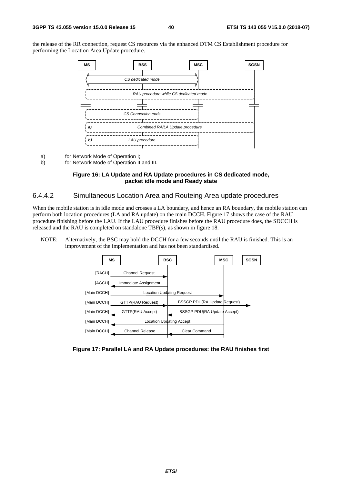the release of the RR connection, request CS resources via the enhanced DTM CS Establishment procedure for performing the Location Area Update procedure.



a) for Network Mode of Operation I;<br>b) for Network Mode of Operation II

for Network Mode of Operation II and III.

#### **Figure 16: LA Update and RA Update procedures in CS dedicated mode, packet idle mode and Ready state**

### 6.4.4.2 Simultaneous Location Area and Routeing Area update procedures

When the mobile station is in idle mode and crosses a LA boundary, and hence an RA boundary, the mobile station can perform both location procedures (LA and RA update) on the main DCCH. Figure 17 shows the case of the RAU procedure finishing before the LAU. If the LAU procedure finishes before the RAU procedure does, the SDCCH is released and the RAU is completed on standalone TBF(s), as shown in figure 18.

NOTE: Alternatively, the BSC may hold the DCCH for a few seconds until the RAU is finished. This is an improvement of the implementation and has not been standardised.



**Figure 17: Parallel LA and RA Update procedures: the RAU finishes first**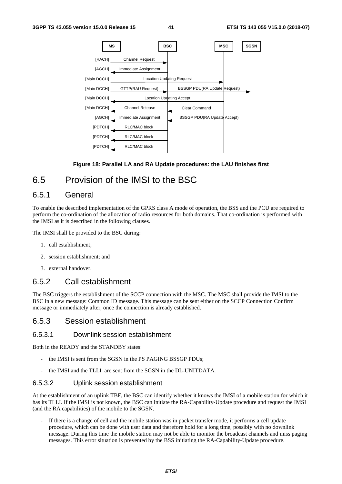

### **Figure 18: Parallel LA and RA Update procedures: the LAU finishes first**

## 6.5 Provision of the IMSI to the BSC

### 6.5.1 General

To enable the described implementation of the GPRS class A mode of operation, the BSS and the PCU are required to perform the co-ordination of the allocation of radio resources for both domains. That co-ordination is performed with the IMSI as it is described in the following clauses.

The IMSI shall be provided to the BSC during:

- 1. call establishment;
- 2. session establishment; and
- 3. external handover.

### 6.5.2 Call establishment

The BSC triggers the establishment of the SCCP connection with the MSC. The MSC shall provide the IMSI to the BSC in a new message: Common ID message. This message can be sent either on the SCCP Connection Confirm message or immediately after, once the connection is already established.

### 6.5.3 Session establishment

### 6.5.3.1 Downlink session establishment

Both in the READY and the STANDBY states:

- the IMSI is sent from the SGSN in the PS PAGING BSSGP PDUs;
- the IMSI and the TLLI are sent from the SGSN in the DL-UNITDATA.

#### 6.5.3.2 Uplink session establishment

At the establishment of an uplink TBF, the BSC can identify whether it knows the IMSI of a mobile station for which it has its TLLI. If the IMSI is not known, the BSC can initiate the RA-Capability-Update procedure and request the IMSI (and the RA capabilities) of the mobile to the SGSN.

If there is a change of cell and the mobile station was in packet transfer mode, it performs a cell update procedure, which can be done with user data and therefore hold for a long time, possibly with no downlink message. During this time the mobile station may not be able to monitor the broadcast channels and miss paging messages. This error situation is prevented by the BSS initiating the RA-Capability-Update procedure.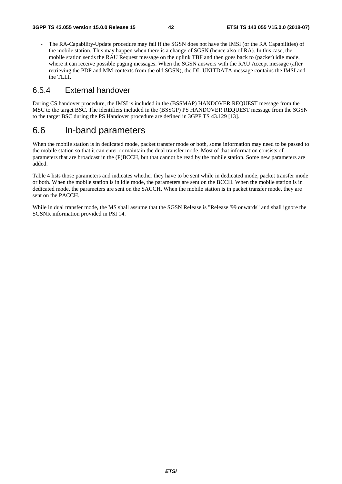- The RA-Capability-Update procedure may fail if the SGSN does not have the IMSI (or the RA Capabilities) of the mobile station. This may happen when there is a change of SGSN (hence also of RA). In this case, the mobile station sends the RAU Request message on the uplink TBF and then goes back to (packet) idle mode, where it can receive possible paging messages. When the SGSN answers with the RAU Accept message (after retrieving the PDP and MM contexts from the old SGSN), the DL-UNITDATA message contains the IMSI and the TLLI.

### 6.5.4 External handover

During CS handover procedure, the IMSI is included in the (BSSMAP) HANDOVER REQUEST message from the MSC to the target BSC. The identifiers included in the (BSSGP) PS HANDOVER REQUEST message from the SGSN to the target BSC during the PS Handover procedure are defined in 3GPP TS 43.129 [13].

## 6.6 In-band parameters

When the mobile station is in dedicated mode, packet transfer mode or both, some information may need to be passed to the mobile station so that it can enter or maintain the dual transfer mode. Most of that information consists of parameters that are broadcast in the (P)BCCH, but that cannot be read by the mobile station. Some new parameters are added.

Table 4 lists those parameters and indicates whether they have to be sent while in dedicated mode, packet transfer mode or both. When the mobile station is in idle mode, the parameters are sent on the BCCH. When the mobile station is in dedicated mode, the parameters are sent on the SACCH. When the mobile station is in packet transfer mode, they are sent on the PACCH.

While in dual transfer mode, the MS shall assume that the SGSN Release is "Release '99 onwards" and shall ignore the SGSNR information provided in PSI 14.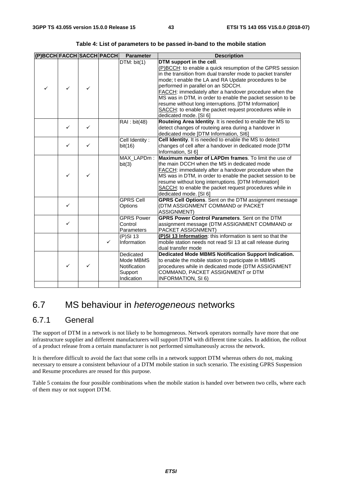| (P)BCCH FACCH SACCH PACCH |              |   |              | <b>Parameter</b>                                                | <b>Description</b>                                                                                                                                                                                                                                                                                                                                                                                                                                                                                                       |
|---------------------------|--------------|---|--------------|-----------------------------------------------------------------|--------------------------------------------------------------------------------------------------------------------------------------------------------------------------------------------------------------------------------------------------------------------------------------------------------------------------------------------------------------------------------------------------------------------------------------------------------------------------------------------------------------------------|
| ✓                         | $\checkmark$ | ✓ |              | DTM: bit(1)                                                     | DTM support in the cell.<br>(P)BCCH: to enable a quick resumption of the GPRS session<br>in the transition from dual transfer mode to packet transfer<br>mode; t enable the LA and RA Update procedures to be<br>performed in parallel on an SDCCH.<br>FACCH: immediately after a handover procedure when the<br>MS was in DTM, in order to enable the packet session to be<br>resume without long interruptions. [DTM Information]<br>SACCH: to enable the packet request procedures while in<br>dedicated mode. [SI 6] |
|                           | ✓            | ✓ |              | RAI : bit(48)                                                   | Routeing Area Identity. It is needed to enable the MS to<br>detect changes of routeing area during a handover in<br>dedicated mode [DTM Information, SI6]                                                                                                                                                                                                                                                                                                                                                                |
|                           | ✓            | ✓ |              | Cell Identity:<br>bit(16)                                       | Cell Identity. It is needed to enable the MS to detect<br>changes of cell after a handover in dedicated mode [DTM<br>Information, SI 6]                                                                                                                                                                                                                                                                                                                                                                                  |
|                           | ✓            | ✓ |              | MAX_LAPDm:<br>bit(3)                                            | Maximum number of LAPDm frames. To limit the use of<br>the main DCCH when the MS in dedicated mode<br>FACCH: immediately after a handover procedure when the<br>MS was in DTM, in order to enable the packet session to be<br>resume without long interruptions. [DTM Information]<br>SACCH: to enable the packet request procedures while in<br>dedicated mode. [SI 6]                                                                                                                                                  |
|                           | ✓            |   |              | <b>GPRS Cell</b><br>Options                                     | GPRS Cell Options. Sent on the DTM assignment message<br>(DTM ASSIGNMENT COMMAND or PACKET<br><b>ASSIGNMENT)</b>                                                                                                                                                                                                                                                                                                                                                                                                         |
|                           | $\checkmark$ |   |              | <b>GPRS Power</b><br>Control<br>Parameters                      | <b>GPRS Power Control Parameters. Sent on the DTM</b><br>assignment message (DTM ASSIGNMENT COMMAND or<br>PACKET ASSIGNMENT)                                                                                                                                                                                                                                                                                                                                                                                             |
|                           |              |   | $\checkmark$ | $(P)$ SI 13<br>Information                                      | (P)SI 13 Information: this information is sent so that the<br>mobile station needs not read SI 13 at call release during<br>dual transfer mode                                                                                                                                                                                                                                                                                                                                                                           |
|                           | ✓            | ✓ |              | Dedicated<br>Mode MBMS<br>Notification<br>Support<br>Indication | Dedicated Mode MBMS Notification Support Indication.<br>to enable the mobile station to participate in MBMS<br>procedures while in dedicated mode (DTM ASSIGNMENT<br>COMMAND, PACKET ASSIGNMENT or DTM<br><b>INFORMATION, SI 6)</b>                                                                                                                                                                                                                                                                                      |

**Table 4: List of parameters to be passed in-band to the mobile station** 

## 6.7 MS behaviour in *heterogeneous* networks

## 6.7.1 General

The support of DTM in a network is not likely to be homogeneous. Network operators normally have more that one infrastructure supplier and different manufacturers will support DTM with different time scales. In addition, the rollout of a product release from a certain manufacturer is not performed simultaneously across the network.

It is therefore difficult to avoid the fact that some cells in a network support DTM whereas others do not, making necessary to ensure a consistent behaviour of a DTM mobile station in such scenario. The existing GPRS Suspension and Resume procedures are reused for this purpose.

Table 5 contains the four possible combinations when the mobile station is handed over between two cells, where each of them may or not support DTM.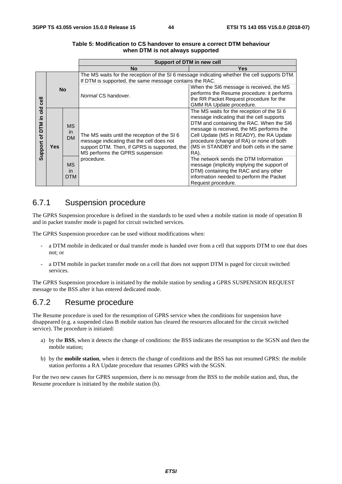|                                         |           |                               | Support of DTM in new cell                                                                                                                                                   |                                                                                                                                                                                                                                                                                                                             |  |  |  |  |  |
|-----------------------------------------|-----------|-------------------------------|------------------------------------------------------------------------------------------------------------------------------------------------------------------------------|-----------------------------------------------------------------------------------------------------------------------------------------------------------------------------------------------------------------------------------------------------------------------------------------------------------------------------|--|--|--|--|--|
|                                         |           |                               | No                                                                                                                                                                           | Yes                                                                                                                                                                                                                                                                                                                         |  |  |  |  |  |
|                                         | <b>No</b> |                               | The MS waits for the reception of the SI 6 message indicating whether the cell supports DTM.<br>If DTM is supported, the same message contains the RAC.                      |                                                                                                                                                                                                                                                                                                                             |  |  |  |  |  |
| $\overline{e}$                          |           |                               | Normal CS handover.                                                                                                                                                          | When the SI6 message is received, the MS<br>performs the Resume procedure: it performs<br>the RR Packet Request procedure for the<br>GMM RA Update procedure.                                                                                                                                                               |  |  |  |  |  |
| old<br>크.<br><b>DTM</b><br>৳<br>Support | Yes       | <b>MS</b><br>in<br><b>DM</b>  | The MS waits until the reception of the SI 6<br>message indicating that the cell does not<br>support DTM. Then, if GPRS is supported, the<br>MS performs the GPRS suspension | The MS waits for the reception of the SI6<br>message indicating that the cell supports<br>DTM and containing the RAC. When the SI6<br>message is received, the MS performs the<br>Cell Update (MS in READY), the RA Update<br>procedure (change of RA) or none of both<br>(MS in STANDBY and both cells in the same<br>RA). |  |  |  |  |  |
|                                         |           | <b>MS</b><br>in<br><b>DTM</b> | procedure.                                                                                                                                                                   | The network sends the DTM Information<br>message (implicitly implying the support of<br>DTM) containing the RAC and any other<br>information needed to perform the Packet<br>Request procedure.                                                                                                                             |  |  |  |  |  |

#### **Table 5: Modification to CS handover to ensure a correct DTM behaviour when DTM is not always supported**

## 6.7.1 Suspension procedure

The GPRS Suspension procedure is defined in the standards to be used when a mobile station in mode of operation B and in packet transfer mode is paged for circuit switched services.

The GPRS Suspension procedure can be used without modifications when:

- a DTM mobile in dedicated or dual transfer mode is handed over from a cell that supports DTM to one that does not; or
- a DTM mobile in packet transfer mode on a cell that does not support DTM is paged for circuit switched services.

The GPRS Suspension procedure is initiated by the mobile station by sending a GPRS SUSPENSION REQUEST message to the BSS after it has entered dedicated mode.

## 6.7.2 Resume procedure

The Resume procedure is used for the resumption of GPRS service when the conditions for suspension have disappeared (e.g. a suspended class B mobile station has cleared the resources allocated for the circuit switched service). The procedure is initiated:

- a) by the **BSS**, when it detects the change of conditions: the BSS indicates the resumption to the SGSN and then the mobile station;
- b) by the **mobile station**, when it detects the change of conditions and the BSS has not resumed GPRS: the mobile station performs a RA Update procedure that resumes GPRS with the SGSN.

For the two new causes for GPRS suspension, there is no message from the BSS to the mobile station and, thus, the Resume procedure is initiated by the mobile station (b).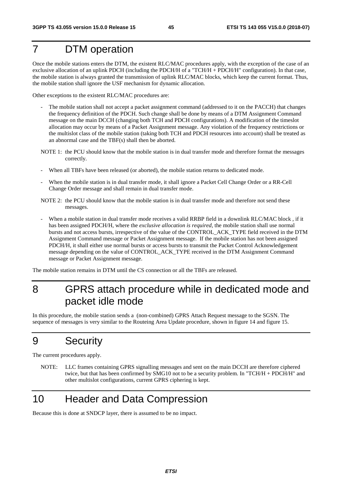# 7 DTM operation

Once the mobile stations enters the DTM, the existent RLC/MAC procedures apply, with the exception of the case of an exclusive allocation of an uplink PDCH (including the PDCH/H of a "TCH/H + PDCH/H" configuration). In that case, the mobile station is always granted the transmission of uplink RLC/MAC blocks, which keep the current format. Thus, the mobile station shall ignore the USF mechanism for dynamic allocation.

Other exceptions to the existent RLC/MAC procedures are:

- The mobile station shall not accept a packet assignment command (addressed to it on the PACCH) that changes the frequency definition of the PDCH. Such change shall be done by means of a DTM Assignment Command message on the main DCCH (changing both TCH and PDCH configurations). A modification of the timeslot allocation may occur by means of a Packet Assignment message. Any violation of the frequency restrictions or the multislot class of the mobile station (taking both TCH and PDCH resources into account) shall be treated as an abnormal case and the TBF(s) shall then be aborted.
- NOTE 1: the PCU should know that the mobile station is in dual transfer mode and therefore format the messages correctly.
- When all TBFs have been released (or aborted), the mobile station returns to dedicated mode.
- When the mobile station is in dual transfer mode, it shall ignore a Packet Cell Change Order or a RR-Cell Change Order message and shall remain in dual transfer mode.
- NOTE 2: the PCU should know that the mobile station is in dual transfer mode and therefore not send these messages.
- When a mobile station in dual transfer mode receives a valid RRBP field in a downlink RLC/MAC block, if it has been assigned PDCH/H, where the *exclusive allocation is required,* the mobile station shall use normal bursts and not access bursts, irrespective of the value of the CONTROL\_ACK\_TYPE field received in the DTM Assignment Command message or Packet Assignment message. If the mobile station has not been assigned PDCH/H, it shall either use normal bursts or access bursts to transmit the Packet Control Acknowledgement message depending on the value of CONTROL\_ACK\_TYPE received in the DTM Assignment Command message or Packet Assignment message.

The mobile station remains in DTM until the CS connection or all the TBFs are released.

# 8 GPRS attach procedure while in dedicated mode and packet idle mode

In this procedure, the mobile station sends a (non-combined) GPRS Attach Request message to the SGSN. The sequence of messages is very similar to the Routeing Area Update procedure, shown in figure 14 and figure 15.

# 9 Security

The current procedures apply.

NOTE: LLC frames containing GPRS signalling messages and sent on the main DCCH are therefore ciphered twice, but that has been confirmed by SMG10 not to be a security problem. In "TCH/H + PDCH/H" and other multislot configurations, current GPRS ciphering is kept.

# 10 Header and Data Compression

Because this is done at SNDCP layer, there is assumed to be no impact.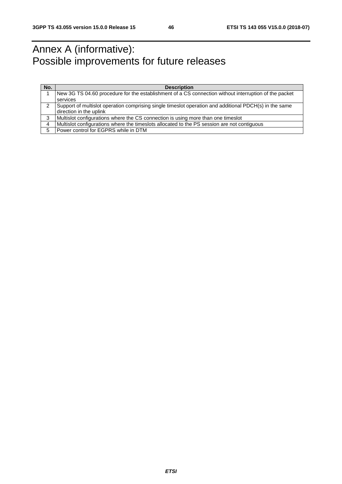# Annex A (informative): Possible improvements for future releases

| No. | <b>Description</b>                                                                                     |  |  |  |  |  |  |  |
|-----|--------------------------------------------------------------------------------------------------------|--|--|--|--|--|--|--|
|     | New 3G TS 04.60 procedure for the establishment of a CS connection without interruption of the packet  |  |  |  |  |  |  |  |
|     | services                                                                                               |  |  |  |  |  |  |  |
| 2   | Support of multislot operation comprising single timeslot operation and additional PDCH(s) in the same |  |  |  |  |  |  |  |
|     | direction in the uplink                                                                                |  |  |  |  |  |  |  |
| 3   | Multislot configurations where the CS connection is using more than one timeslot                       |  |  |  |  |  |  |  |
| 4   | Multislot configurations where the timeslots allocated to the PS session are not contiguous            |  |  |  |  |  |  |  |
| 5   | Power control for EGPRS while in DTM                                                                   |  |  |  |  |  |  |  |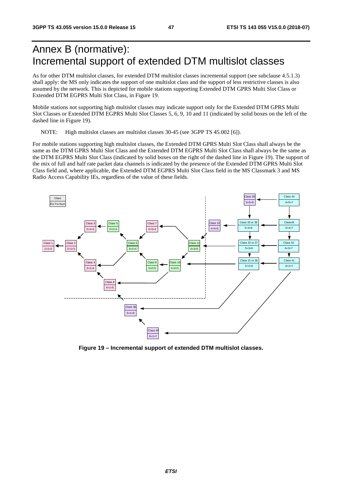# Annex B (normative): Incremental support of extended DTM multislot classes

As for other DTM multislot classes, for extended DTM multislot classes incremental support (see subclause 4.5.1.3) shall apply: the MS only indicates the support of one multislot class and the support of less restrictive classes is also assumed by the network. This is depicted for mobile stations supporting Extended DTM GPRS Multi Slot Class or Extended DTM EGPRS Multi Slot Class, in Figure 19.

Mobile stations not supporting high multislot classes may indicate support only for the Extended DTM GPRS Multi Slot Classes or Extended DTM EGPRS Multi Slot Classes 5, 6, 9, 10 and 11 (indicated by solid boxes on the left of the dashed line in Figure 19).

NOTE: High multislot classes are multislot classes 30-45 (see 3GPP TS 45.002 [6]).

For mobile stations supporting high multislot classes, the Extended DTM GPRS Multi Slot Class shall always be the same as the DTM GPRS Multi Slot Class and the Extended DTM EGPRS Multi Slot Class shall always be the same as the DTM EGPRS Multi Slot Class (indicated by solid boxes on the right of the dashed line in Figure 19). The support of the mix of full and half rate packet data channels is indicated by the presence of the Extended DTM GPRS Multi Slot Class field and, where applicable, the Extended DTM EGPRS Multi Slot Class field in the MS Classmark 3 and MS Radio Access Capability IEs, regardless of the value of these fields.



**Figure 19 – Incremental support of extended DTM multislot classes.**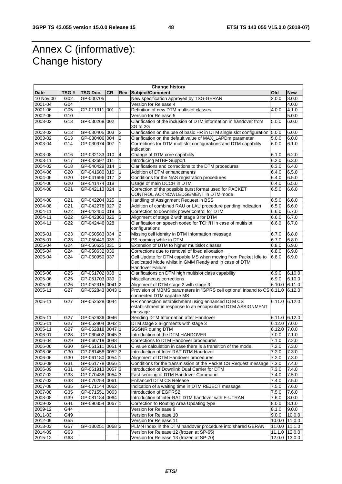# Annex C (informative): Change history

| <b>Change history</b> |                  |                  |           |                |                                                                             |                |               |
|-----------------------|------------------|------------------|-----------|----------------|-----------------------------------------------------------------------------|----------------|---------------|
| <b>Date</b>           | TSG#             | TSG Doc.         | <b>CR</b> | Rev            | Subject/Comment                                                             | Old            | <b>New</b>    |
| 10 Nov 00             | G02              | GP-000705        |           |                | New specification approved by TSG-GERAN                                     | 2.0.0          | 8.0.0         |
| 2001-04               | G <sub>04</sub>  |                  |           |                | Version for Release 4                                                       |                | 4.0.0         |
| 2001-06               | G05              | GP-011311 001    |           | 1              | Definition of new DTM multislot classes                                     | 4.0.0          | 4.1.0         |
| 2002-06               | G10              |                  |           |                | Version for Release 5                                                       |                | 5.0.0         |
| 2003-02               | G13              | GP-030268 002    |           |                | Clarification of the inclusion of DTM information in handover from          | 5.0.0          | 6.0.0         |
|                       |                  |                  |           |                | 3G to 2G                                                                    |                |               |
| 2003-02               | G13              | GP-030405 003    |           | $\overline{2}$ | Clarification on the use of basic HR in DTM single slot configuration 5.0.0 |                | 6.0.0         |
| 2003-02               | G13              | GP-030406 004    |           | 2              | Clarification on the default value of MAX_LAPDm parameter                   | 5.0.0          | 6.0.0         |
| 2003-04               | G14              | GP-030974 007    |           | $\mathbf{1}$   | Corrections for DTM multislot configurations and DTM capability             | 6.0.0          | 6.1.0         |
|                       |                  |                  |           |                | indication                                                                  |                |               |
| 2003-08               | G16              | GP-032133 010    |           | 4              | Change of DTM core capability                                               | 6.1.0          | 6.2.0         |
| 2003-11               | G17              | GP-032697 011    |           | 1              | <b>Introducing MTBF Support</b>                                             | 6.2.0          | 6.3.0         |
| 2004-02               | G18              | GP-040429 014    |           | 1              | Clarifications and corrections to the DTM procedures                        | 6.3.0          | 6.4.0         |
| 2004-06               | G20              | GP-041680 016    |           | 1              | Addition of DTM enhancements                                                | 6.4.0          | 6.5.0         |
| 2004-06               | G20              | GP-041696 017    |           | $\overline{2}$ | Conditions for the NAS registration procedures                              | 6.4.0          | 6.5.0         |
| 2004-06               | G20              | GP-041474 018    |           |                | Usage of main DCCH in DTM                                                   | 6.4.0          | 6.5.0         |
| 2004-08               | G21              | GP-042113 024    |           | $\mathbf{1}$   | Correction of the possible burst format used for PACKET                     | 6.5.0          | 6.6.0         |
|                       |                  |                  |           |                | CONTROL ACKNOWLEDGEMENT in DTM mode                                         |                |               |
| 2004-08               | G21              | GP-042204 025    |           | 1              | Handling of Assignment Request in BSS                                       | 6.5.0          | 6.6.0         |
| 2004-08               | G21              | GP-042278 027    |           | $\overline{2}$ | Addition of combined RAU or LAU procedure pending indication                | 6.5.0          | 6.6.0         |
| 2004-11               | G22              | GP-042450 019    |           | 5              | Correction to downlink power control for DTM                                | 6.6.0          | 6.7.0         |
| 2004-11               | G22              | GP-042363 026    |           | 3              | Alignment of stage 2 with stage 3 for DTM                                   | 6.6.0          | 6.7.0         |
| 2004-11               | G22              | GP-042446 028    |           |                | Clarification on speech codec for TCH/H in case of multislot                | 6.6.0          | 6.7.0         |
|                       |                  |                  |           |                | configurations                                                              |                |               |
| 2005-01               | G23              | GP-050583 034    |           | $\overline{2}$ | Missing cell identity in DTM Information message                            | 6.7.0          | 6.8.0         |
| 2005-01               | G23              | GP-050449 035    |           | 1              | PS roaming while in DTM                                                     | 6.7.0          | 6.8.0         |
| 2005-04               | G24              | GP-050625 031    |           | 3              | Extension of DTM to higher multislot classes                                | 6.8.0          | 6.9.0         |
| 2005-04               | G24              | GP-050632 036    |           |                | Corrections due to removal of fixed allocation                              | 6.8.0          | 6.9.0         |
| 2005-04               | G24              | GP-050950 037    |           |                | Cell Update for DTM capable MS when moving from Packet Idle to              | 6.8.0          | 6.9.0         |
|                       |                  |                  |           |                | Dedicated Mode whilst in GMM Ready and in case of DTM                       |                |               |
|                       |                  |                  |           |                | Handover Failure                                                            |                |               |
| 2005-06               | G25              | GP-051702 038    |           | 1              | Clarifications on DTM high multislot class capability                       | 6.9.0          | 6.10.0        |
| 2005-06               | $\overline{G25}$ | GP-051703 039    |           |                | Miscellaneous corrections                                                   | 6.9.0          | 6.10.0        |
| 2005-09               | G26              | GP-052315 0041 2 |           |                | Alignment of DTM stage 2 with stage 3                                       | 6.10.0         | 6.11.0        |
| 2005-11               | G27              | GP-052843 0043 1 |           |                | Provision of MBMS parameters in "GPRS cell options" inband to CS 6.11.0     |                | 6.12.0        |
|                       |                  |                  |           |                | connected DTM capable MS                                                    |                |               |
| 2005-11               | G27              | GP-052528 0044   |           |                | RR connection establishment using enhanced DTM CS                           | 6.11.0 6.12.0  |               |
|                       |                  |                  |           |                | establishment in response to an encapsulated DTM ASSIGNMENT                 |                |               |
|                       |                  |                  |           |                | message                                                                     |                |               |
| 2005-11               | G27              | GP-052636 0046   |           |                | Sending DTM Information after Handover                                      | 6.11.0 6.12.0  |               |
| 2005-11               | G27              | GP-052804 0042 1 |           |                | DTM stage 2 alignments with stage 3                                         | 6.12.0 7.0.0   |               |
| 2005-11               | G27              | GP-052818 0047 1 |           |                | <b>SGSNR</b> during DTM                                                     | $6.12.0$ 7.0.0 |               |
| 2006-01               | G28              | GP-060402 0045 3 |           |                | Introduction of the DTM HANDOVER                                            | 7.0.0          | 7.1.0         |
| 2006-04               | G29              | GP-060718 0048   |           |                | Corrections to DTM Handover procedures                                      | 7.1.0          | 7.2.0         |
| 2006-06               | G30              | GP-061511 0051 4 |           |                | C value calculation in case there is a transition of the mode               | 7.2.0          | 7.3.0         |
| 2006-06               | G30              | GP-061458 0052 3 |           |                | Introduction of Inter-RAT DTM Handover                                      | 7.2.0          | 7.3.0         |
| 2006-06               | G30              | GP-061180 0054 1 |           |                | Alignment of DTM Handover procedures                                        | 7.2.0          | 7.3.0         |
| 2006-09               | G31              | GP-061778 0056 1 |           |                | Conditions for the transmission of the Packet CS Request message            | 7.3.0          | 7.4.0         |
| 2006-09               | G31              | GP-061913 0057 3 |           |                | Introduction of Downlink Dual Carrier for DTM                               | 7.3.0          | 7.4.0         |
| 2007-02               | G33              | GP-070438 0054 3 |           |                | Fast sending of DTM Handover Command                                        | 7.4.0          | 7.5.0         |
| 2007-02               | G33              | GP-070254 0061   |           |                | <b>Enhanced DTM CS Release</b>                                              | 7.4.0          | 7.5.0         |
| 2007-08               | G35              | GP-071144 0062   |           |                | Indication of a waiting time in DTM REJECT message                          | 7.5.0          | 7.6.0         |
| 2007-08               | G35              | GP-071551 0063   |           |                | Introduction of EGPRS2                                                      | 7.5.0          | 7.6.0         |
| 2008-08               | G39              | GP-081184 0064   |           |                | Introduction of inter-RAT DTM handover with E-UTRAN                         | 7.6.0          | 8.0.0         |
| 2009-02               | G41              | GP-090354 0067 1 |           |                | Correction to Routing Area Updating type                                    | 8.0.0          | 8.1.0         |
| 2009-12               | G44              |                  |           |                | Version for Release 9                                                       | 8.1.0          | 9.0.0         |
| 2011-03               | G49              |                  |           |                | Version for Release 10                                                      | 9.0.0          | 10.0.0        |
| 2012-09               | G55              |                  |           |                | Version for Release 11                                                      | 10.0.0         | 11.0.0        |
|                       | G57              | GP-130251 0068 2 |           |                |                                                                             |                |               |
| 2013-03               |                  |                  |           |                | PLMN Index in the DTM handover procedure into shared GERAN                  | 11.0.0 11.1.0  |               |
| 2014-09               | G63              |                  |           |                | Version for Release 12 (frozen at SP-65)                                    | 11.1.0 12.0.0  |               |
| 2015-12               | G68              |                  |           |                | Version for Release 13 (frozen at SP-70)                                    |                | 12.0.0 13.0.0 |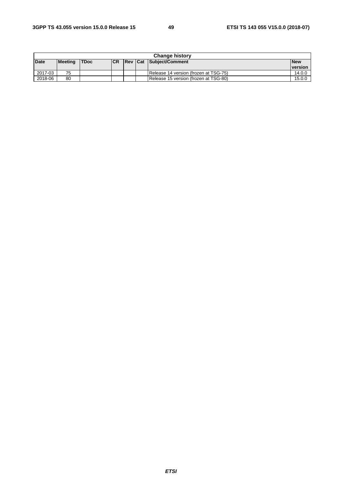| <b>Change history</b> |                |             |           |  |  |                                       |                |
|-----------------------|----------------|-------------|-----------|--|--|---------------------------------------|----------------|
| Date                  | <b>Meeting</b> | <b>TDoc</b> | <b>CR</b> |  |  | <b>Rev Cat Subject/Comment</b>        | <b>New</b>     |
|                       |                |             |           |  |  |                                       | <b>version</b> |
| 2017-03               | 75             |             |           |  |  | Release 14 version (frozen at TSG-75) | 14.0.0         |
| 2018-06               | 80             |             |           |  |  | Release 15 version (frozen at TSG-80) | 15.0.0         |